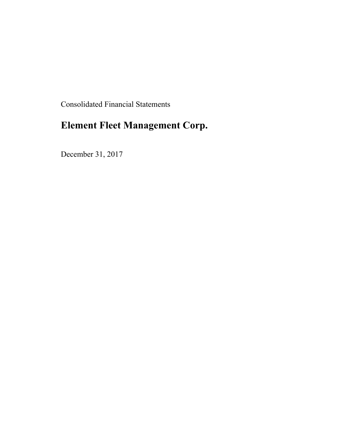Consolidated Financial Statements

# **Element Fleet Management Corp.**

December 31, 2017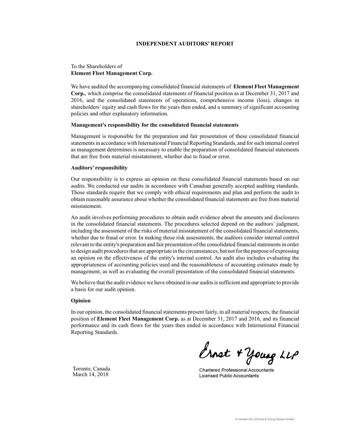#### **INDEPENDENT AUDITORS' REPORT**

#### To the Shareholders of **Element Fleet Management Corp.**

We have audited the accompanying consolidated financial statements of **Element Fleet Management Corp.**, which comprise the consolidated statements of financial position as at December 31, 2017 and 2016, and the consolidated statements of operations, comprehensive income (loss), changes in shareholders' equity and cash flows for the years then ended, and a summary of significant accounting policies and other explanatory information.

#### **Management's responsibility for the consolidated financial statements**

Management is responsible for the preparation and fair presentation of these consolidated financial statements in accordance with International Financial Reporting Standards, and for such internal control as management determines is necessary to enable the preparation of consolidated financial statements that are free from material misstatement, whether due to fraud or error.

#### **Auditors' responsibility**

Our responsibility is to express an opinion on these consolidated financial statements based on our audits. We conducted our audits in accordance with Canadian generally accepted auditing standards. Those standards require that we comply with ethical requirements and plan and perform the audit to obtain reasonable assurance about whether the consolidated financial statements are free from material misstatement.

An audit involves performing procedures to obtain audit evidence about the amounts and disclosures in the consolidated financial statements. The procedures selected depend on the auditors' judgment, including the assessment of the risks of material misstatement of the consolidated financial statements, whether due to fraud or error. In making those risk assessments, the auditors consider internal control relevant to the entity's preparation and fair presentation of the consolidated financial statements in order to design audit procedures that are appropriate in the circumstances, but not for the purpose of expressing an opinion on the effectiveness of the entity's internal control. An audit also includes evaluating the appropriateness of accounting policies used and the reasonableness of accounting estimates made by management, as well as evaluating the overall presentation of the consolidated financial statements.

We believe that the audit evidence we have obtained in our audits is sufficient and appropriate to provide a basis for our audit opinion.

#### **Opinion**

In our opinion, the consolidated financial statements present fairly, in all material respects, the financial position of **Element Fleet Management Corp.** as at December 31, 2017 and 2016, and its financial performance and its cash flows for the years then ended in accordance with International Financial Reporting Standards.

Ernet + young LLP

**Chartered Professional Accountants Licensed Public Accountants** 

Toronto, Canada March 14, 2018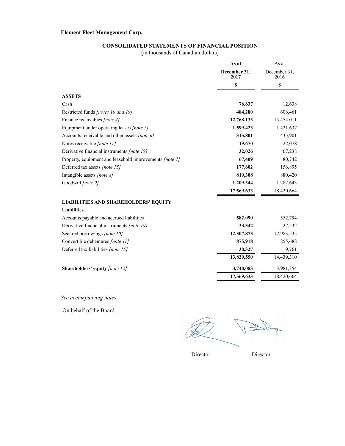## **CONSOLIDATED STATEMENTS OF FINANCIAL POSITION**

[in thousands of Canadian dollars]

|                                                         | As at                | As at                |
|---------------------------------------------------------|----------------------|----------------------|
|                                                         | December 31,<br>2017 | December 31,<br>2016 |
|                                                         | \$                   | \$                   |
| <b>ASSETS</b>                                           |                      |                      |
| Cash                                                    | 76,637               | 12,638               |
| Restricted funds [notes 10 and 19]                      | 484,280              | 606,461              |
| Finance receivables [note 4]                            | 12,768,133           | 13,454,011           |
| Equipment under operating leases [note 5]               | 1,599,423            | 1,421,637            |
| Accounts receivable and other assets [note 6]           | 315,801              | 435,901              |
| Notes receivable [note 17]                              | 19,670               | 22,078               |
| Derivative financial instruments [note 19]              | 32,026               | 67,238               |
| Property, equipment and leasehold improvements [note 7] | 67,409               | 80,742               |
| Deferred tax assets [note 15]                           | 177,602              | 156,895              |
| Intangible assets [note 8]                              | 819,308              | 880,420              |
| Goodwill [note 9]                                       | 1,209,344            | 1,282,643            |
|                                                         | 17,569,633           | 18,420,664           |
| <b>LIABILITIES AND SHAREHOLDERS' EQUITY</b>             |                      |                      |
| <b>Liabilities</b>                                      |                      |                      |
| Accounts payable and accrued liabilities                | 582,090              | 552,794              |
| Derivative financial instruments [note 19]              | 33,342               | 27,532               |
| Secured borrowings [note 10]                            | 12,307,873           | 12,983,535           |
| Convertible debentures [note 11]                        | 875,918              | 855,688              |
| Deferred tax liabilities [note 15]                      | 30,327               | 19,761               |
|                                                         | 13,829,550           | 14,439,310           |
| Shareholders' equity [note 12]                          | 3,740,083            | 3,981,354            |
|                                                         | 17,569,633           | 18,420,664           |

*See accompanying notes*

On behalf of the Board:

Director Director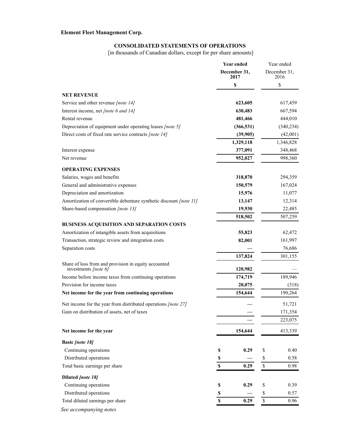# **CONSOLIDATED STATEMENTS OF OPERATIONS**

[in thousands of Canadian dollars, except for per share amounts]

|                                                                              | <b>Year ended</b>    | Year ended           |
|------------------------------------------------------------------------------|----------------------|----------------------|
|                                                                              | December 31,<br>2017 | December 31,<br>2016 |
|                                                                              | \$                   | \$                   |
| <b>NET REVENUE</b>                                                           |                      |                      |
| Service and other revenue [note 14]                                          | 623,605              | 617,459              |
| Interest income, net [note 6 and 14]                                         | 630,483              | 667,594              |
| Rental revenue                                                               | 481,466              | 444,010              |
| Depreciation of equipment under operating leases <i>[note 5]</i>             | (366, 531)           | (340, 234)           |
| Direct costs of fixed rate service contracts [note 14]                       | (39, 905)            | (42,001)             |
|                                                                              | 1,329,118            | 1,346,828            |
| Interest expense                                                             | 377,091              | 348,468              |
| Net revenue                                                                  | 952,027              | 998,360              |
| <b>OPERATING EXPENSES</b>                                                    |                      |                      |
| Salaries, wages and benefits                                                 | 318,870              | 294,359              |
| General and administrative expenses                                          | 150,579              | 167,024              |
| Depreciation and amortization                                                | 15,976               | 11,077               |
| Amortization of convertible debenture synthetic discount [note 11]           | 13,147               | 12,314               |
| Share-based compensation [note 13]                                           | 19,930               | 22,485               |
|                                                                              | 518,502              | 507,259              |
| BUSINESS ACQUISITION AND SEPARATION COSTS                                    |                      |                      |
| Amortization of intangible assets from acquisitions                          | 55,823               | 62,472               |
| Transaction, strategic review and integration costs                          | 82,001               | 161,997              |
| Separation costs                                                             |                      | 76,686               |
|                                                                              | 137,824              | 301,155              |
| Share of loss from and provision in equity accounted<br>investments [note 6] | 120,982              |                      |
| Income before income taxes from continuing operations                        | 174,719              | 189,946              |
| Provision for income taxes                                                   | 20,075               | (318)                |
| Net income for the year from continuing operations                           | 154,644              | 190,264              |
| Net income for the year from distributed operations [note 27]                |                      | 51,721               |
| Gain on distribution of assets, net of taxes                                 |                      | 171,354              |
|                                                                              |                      | 223,075              |
| Net income for the year                                                      | 154,644              | 413,339              |
| <b>Basic [note 18]</b>                                                       |                      |                      |
| Continuing operations                                                        | 0.29<br>\$           | \$<br>0.40           |
| Distributed operations                                                       | \$                   | \$<br>0.58           |
| Total basic earnings per share                                               | \$<br>0.29           | $\mathbb S$<br>0.98  |
| Diluted [note 18]                                                            |                      |                      |
| Continuing operations                                                        | 0.29<br>\$           | \$<br>0.39           |
| Distributed operations                                                       | $\mathbb S$          | \$<br>0.57           |
| Total diluted earnings per share                                             | \$<br>0.29           | $\mathbb S$<br>0.96  |
| See accompanying notes                                                       |                      |                      |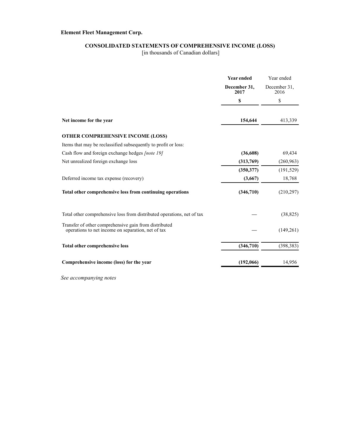# **CONSOLIDATED STATEMENTS OF COMPREHENSIVE INCOME (LOSS)**

[in thousands of Canadian dollars]

|                                                                                                             | <b>Year ended</b>    | Year ended           |
|-------------------------------------------------------------------------------------------------------------|----------------------|----------------------|
|                                                                                                             | December 31,<br>2017 | December 31,<br>2016 |
|                                                                                                             | \$                   | \$                   |
| Net income for the year                                                                                     | 154,644              | 413,339              |
| <b>OTHER COMPREHENSIVE INCOME (LOSS)</b>                                                                    |                      |                      |
| Items that may be reclassified subsequently to profit or loss:                                              |                      |                      |
| Cash flow and foreign exchange hedges <i>[note 19]</i>                                                      | (36,608)             | 69,434               |
| Net unrealized foreign exchange loss                                                                        | (313,769)            | (260, 963)           |
|                                                                                                             | (350, 377)           | (191, 529)           |
| Deferred income tax expense (recovery)                                                                      | (3,667)              | 18,768               |
| Total other comprehensive loss from continuing operations                                                   | (346,710)            | (210, 297)           |
| Total other comprehensive loss from distributed operations, net of tax                                      |                      | (38, 825)            |
| Transfer of other comprehensive gain from distributed<br>operations to net income on separation, net of tax |                      | (149, 261)           |
| <b>Total other comprehensive loss</b>                                                                       | (346, 710)           | (398, 383)           |
| Comprehensive income (loss) for the year                                                                    | (192,066)            | 14,956               |

*See accompanying notes*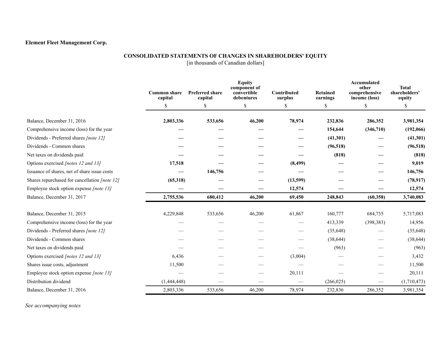### **CONSOLIDATED STATEMENTS OF CHANGES IN SHAREHOLDERS' EQUITY**

[in thousands of Canadian dollars]

|                                                      | <b>Common share</b><br>capital | <b>Preferred share</b><br>capital | <b>Equity</b><br>component of<br>convertible<br>debentures | Contributed<br>surplus | <b>Retained</b><br>earnings | Accumulated<br>other<br>comprehensive<br>income (loss) | <b>Total</b><br>shareholders'<br>equity |
|------------------------------------------------------|--------------------------------|-----------------------------------|------------------------------------------------------------|------------------------|-----------------------------|--------------------------------------------------------|-----------------------------------------|
|                                                      | \$                             | \$                                | \$                                                         | \$                     | \$                          | <sup>\$</sup>                                          | <sup>\$</sup>                           |
| Balance, December 31, 2016                           | 2,803,336                      | 533,656                           | 46,200                                                     | 78,974                 | 232,836                     | 286,352                                                | 3,981,354                               |
| Comprehensive income (loss) for the year             |                                |                                   |                                                            |                        | 154,644                     | (346, 710)                                             | (192,066)                               |
| Dividends - Preferred shares [note 12]               |                                |                                   |                                                            |                        | (41,301)                    |                                                        | (41,301)                                |
| Dividends - Common shares                            |                                |                                   |                                                            |                        | (96, 518)                   |                                                        | (96, 518)                               |
| Net taxes on dividends paid                          |                                |                                   |                                                            |                        | (818)                       |                                                        | (818)                                   |
| Options exercised [notes 12 and 13]                  | 17,518                         |                                   |                                                            | (8, 499)               |                             |                                                        | 9,019                                   |
| Issuance of shares, net of share issue costs         |                                | 146,756                           |                                                            |                        |                             |                                                        | 146,756                                 |
| Shares repurchased for cancellation <i>[note 12]</i> | (65,318)                       |                                   |                                                            | (13,599)               |                             |                                                        | (78, 917)                               |
| Employee stock option expense [note 13]              |                                |                                   |                                                            | 12,574                 |                             |                                                        | 12,574                                  |
| Balance, December 31, 2017                           | 2,755,536                      | 680,412                           | 46,200                                                     | 69,450                 | 248,843                     | (60, 358)                                              | 3,740,083                               |
| Balance, December 31, 2015                           | 4,229,848                      | 533,656                           | 46,200                                                     | 61,867                 | 160,777                     | 684,735                                                | 5,717,083                               |
| Comprehensive income (loss) for the year             |                                |                                   |                                                            |                        | 413,339                     | (398, 383)                                             | 14,956                                  |
| Dividends - Preferred shares [note 12]               |                                |                                   |                                                            |                        | (35, 648)                   |                                                        | (35, 648)                               |
| Dividends - Common shares                            |                                |                                   |                                                            |                        | (38, 644)                   |                                                        | (38, 644)                               |
| Net taxes on dividends paid                          |                                |                                   |                                                            |                        | (963)                       |                                                        | (963)                                   |
| Options exercised [notes 12 and 13]                  | 6,436                          |                                   |                                                            | (3,004)                |                             |                                                        | 3,432                                   |
| Shares issue costs, adjustment                       | 11,500                         |                                   |                                                            |                        |                             |                                                        | 11,500                                  |
| Employee stock option expense [note 13]              |                                |                                   |                                                            | 20,111                 |                             |                                                        | 20,111                                  |
| Distribution dividend                                | (1,444,448)                    |                                   |                                                            |                        | (266, 025)                  |                                                        | (1,710,473)                             |
| Balance, December 31, 2016                           | 2,803,336                      | 533,656                           | 46,200                                                     | 78,974                 | 232,836                     | 286,352                                                | 3,981,354                               |

*See accompanying notes*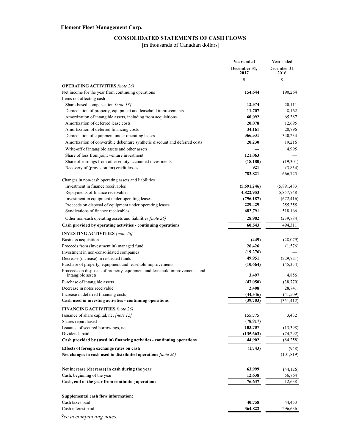# **CONSOLIDATED STATEMENTS OF CASH FLOWS**

[in thousands of Canadian dollars]

|                                                                              | <b>Year ended</b>    | Year ended           |
|------------------------------------------------------------------------------|----------------------|----------------------|
|                                                                              | December 31,<br>2017 | December 31,<br>2016 |
|                                                                              | \$                   | \$                   |
| <b>OPERATING ACTIVITIES</b> [note 26]                                        |                      |                      |
| Net income for the year from continuing operations                           | 154,644              | 190,264              |
| Items not affecting cash                                                     |                      |                      |
| Share-based compensation [note 13]                                           | 12,574               | 20,111               |
| Depreciation of property, equipment and leasehold improvements               | 11,707               | 8,162                |
| Amortization of intangible assets, including from acquisitions               | 60,092               | 65,387               |
| Amortization of deferred lease costs                                         | 20,078               | 12,695               |
| Amortization of deferred financing costs                                     | 34,161               | 28,796               |
| Depreciation of equipment under operating leases                             | 366,531              | 340,234              |
| Amortization of convertible debenture synthetic discount and deferred costs  | 20,230               | 19,216               |
| Write-off of intangible assets and other assets                              |                      | 4,995                |
| Share of loss from joint venture investment                                  | 121,063              |                      |
| Share of earnings from other equity accounted investments                    | (18, 180)            | (19,301)             |
| Recovery of (provision for) credit losses                                    | 921                  | (3,834)              |
|                                                                              | 783,821              | 666,725              |
| Changes in non-cash operating assets and liabilities                         |                      |                      |
| Investment in finance receivables                                            | (5,691,246)          | (5,891,483)          |
| Repayments of finance receivables                                            | 4,822,953            | 5,857,748            |
| Investment in equipment under operating leases                               | (796, 187)           | (672, 416)           |
| Proceeds on disposal of equipment under operating leases                     | 229,429              | 255,355              |
| Syndications of finance receivables                                          | 682,791              | 518,166              |
| Other non-cash operating assets and liabilities [note 26]                    | 28,982               | (239, 784)           |
| Cash provided by operating activities - continuing operations                | 60,543               | 494,311              |
| <b>INVESTING ACTIVITIES</b> [note 26]                                        |                      |                      |
| Business acquisition                                                         | (449)                | (28,079)             |
| Proceeds from (investment in) managed fund                                   | 26,426               | (1,576)              |
| Investment in non-consolidated companies                                     | (19,276)             |                      |
| Decrease (increase) in restricted funds                                      | 49,951               | (229, 721)           |
| Purchase of property, equipment and leasehold improvements                   | (10, 664)            | (45, 354)            |
| Proceeds on disposals of property, equipment and leasehold improvements, and |                      |                      |
| intangible assets                                                            | 3,497                | 4,856                |
| Purchase of intangible assets                                                | (47,050)             | (38,770)             |
| Decrease in notes receivable                                                 | 2,408                | 28,741               |
| Increase in deferred financing costs                                         | (44, 546)            | (41, 509)            |
| Cash used in investing activities - continuing operations                    | (39,703)             | (351, 412)           |
| <b>FINANCING ACTIVITIES</b> [note 26]                                        |                      |                      |
| Issuance of share capital, net <i>[note 12]</i>                              | 155,775              | 3,432                |
| Shares repurchased                                                           | (78, 917)            |                      |
| Issuance of secured borrowings, net                                          | 103,707              | (13,398)             |
| Dividends paid                                                               | (135, 663)           | (74, 292)            |
| Cash provided by (used in) financing activities - continuing operations      | 44,902               | (84,258)             |
| Effects of foreign exchange rates on cash                                    | (1,743)              | (948)                |
| Net changes in cash used in distributed operations [note 26]                 |                      | (101, 819)           |
|                                                                              |                      |                      |
| Net increase (decrease) in cash during the year                              | 63,999               | (44, 126)            |
| Cash, beginning of the year                                                  | 12,638               | 56,764               |
| Cash, end of the year from continuing operations                             | 76,637               | 12,638               |
|                                                                              |                      |                      |
| Supplemental cash flow information:                                          |                      |                      |
| Cash taxes paid                                                              | 40,758               | 44,453               |
| Cash interest paid                                                           | 364,822              | 296,636              |
| See accompanying notes                                                       |                      |                      |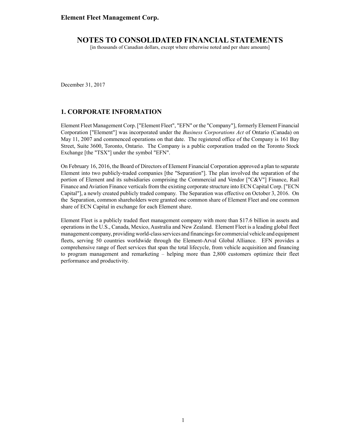[in thousands of Canadian dollars, except where otherwise noted and per share amounts]

December 31, 2017

### **1. CORPORATE INFORMATION**

Element Fleet Management Corp. ["Element Fleet", "EFN" or the "Company"], formerly Element Financial Corporation ["Element"] was incorporated under the *Business Corporations Act* of Ontario (Canada) on May 11, 2007 and commenced operations on that date. The registered office of the Company is 161 Bay Street, Suite 3600, Toronto, Ontario. The Company is a public corporation traded on the Toronto Stock Exchange [the "TSX"] under the symbol "EFN".

On February 16, 2016, the Board of Directors of Element Financial Corporation approved a plan to separate Element into two publicly-traded companies [the "Separation"]. The plan involved the separation of the portion of Element and its subsidiaries comprising the Commercial and Vendor ["C&V"] Finance, Rail Finance and Aviation Finance verticals from the existing corporate structure into ECN Capital Corp. ["ECN Capital"], a newly created publicly traded company. The Separation was effective on October 3, 2016. On the Separation, common shareholders were granted one common share of Element Fleet and one common share of ECN Capital in exchange for each Element share.

Element Fleet is a publicly traded fleet management company with more than \$17.6 billion in assets and operations in the U.S., Canada, Mexico, Australia and New Zealand. Element Fleet is a leading global fleet management company, providing world-class services and financings for commercial vehicle and equipment fleets, serving 50 countries worldwide through the Element-Arval Global Alliance. EFN provides a comprehensive range of fleet services that span the total lifecycle, from vehicle acquisition and financing to program management and remarketing – helping more than 2,800 customers optimize their fleet performance and productivity.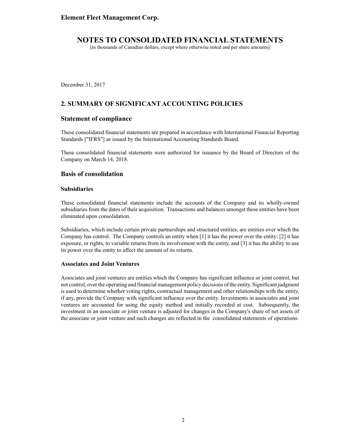[in thousands of Canadian dollars, except where otherwise noted and per share amounts]

December 31, 2017

# **2. SUMMARY OF SIGNIFICANT ACCOUNTING POLICIES**

### **Statement of compliance**

These consolidated financial statements are prepared in accordance with International Financial Reporting Standards ["IFRS"] as issued by the International Accounting Standards Board.

These consolidated financial statements were authorized for issuance by the Board of Directors of the Company on March 14, 2018.

### **Basis of consolidation**

#### **Subsidiaries**

These consolidated financial statements include the accounts of the Company and its wholly-owned subsidiaries from the dates of their acquisition. Transactions and balances amongst these entities have been eliminated upon consolidation.

Subsidiaries, which include certain private partnerships and structured entities, are entities over which the Company has control. The Company controls an entity when [1] it has the power over the entity; [2] it has exposure, or rights, to variable returns from its involvement with the entity, and [3] it has the ability to use its power over the entity to affect the amount of its returns.

#### **Associates and Joint Ventures**

Associates and joint ventures are entities which the Company has significant influence or joint control, but not control, over the operating and financial management policy decisions of the entity. Significant judgment is used to determine whether voting rights, contractual management and other relationships with the entity, if any, provide the Company with significant influence over the entity. Investments in associates and joint ventures are accounted for using the equity method and initially recorded at cost. Subsequently, the investment in an associate or joint venture is adjusted for changes in the Company's share of net assets of the associate or joint venture and such changes are reflected in the consolidated statements of operations.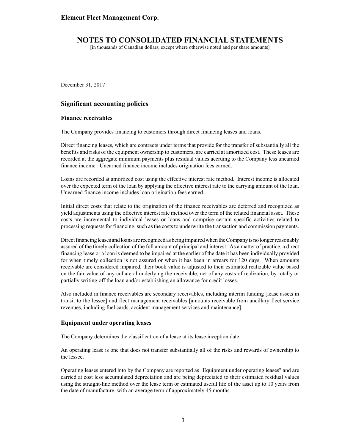[in thousands of Canadian dollars, except where otherwise noted and per share amounts]

December 31, 2017

### **Significant accounting policies**

#### **Finance receivables**

The Company provides financing to customers through direct financing leases and loans.

Direct financing leases, which are contracts under terms that provide for the transfer of substantially all the benefits and risks of the equipment ownership to customers, are carried at amortized cost. These leases are recorded at the aggregate minimum payments plus residual values accruing to the Company less unearned finance income. Unearned finance income includes origination fees earned.

Loans are recorded at amortized cost using the effective interest rate method. Interest income is allocated over the expected term of the loan by applying the effective interest rate to the carrying amount of the loan. Unearned finance income includes loan origination fees earned.

Initial direct costs that relate to the origination of the finance receivables are deferred and recognized as yield adjustments using the effective interest rate method over the term of the related financial asset. These costs are incremental to individual leases or loans and comprise certain specific activities related to processing requests for financing, such as the costs to underwrite the transaction and commission payments.

Direct financing leases and loans are recognized as being impaired when the Company is no longer reasonably assured of the timely collection of the full amount of principal and interest. As a matter of practice, a direct financing lease or a loan is deemed to be impaired at the earlier of the date it has been individually provided for when timely collection is not assured or when it has been in arrears for 120 days. When amounts receivable are considered impaired, their book value is adjusted to their estimated realizable value based on the fair value of any collateral underlying the receivable, net of any costs of realization, by totally or partially writing off the loan and/or establishing an allowance for credit losses.

Also included in finance receivables are secondary receivables, including interim funding [lease assets in transit to the lessee] and fleet management receivables [amounts receivable from ancillary fleet service revenues, including fuel cards, accident management services and maintenance].

#### **Equipment under operating leases**

The Company determines the classification of a lease at its lease inception date.

An operating lease is one that does not transfer substantially all of the risks and rewards of ownership to the lessee.

Operating leases entered into by the Company are reported as "Equipment under operating leases" and are carried at cost less accumulated depreciation and are being depreciated to their estimated residual values using the straight-line method over the lease term or estimated useful life of the asset up to 10 years from the date of manufacture, with an average term of approximately 45 months.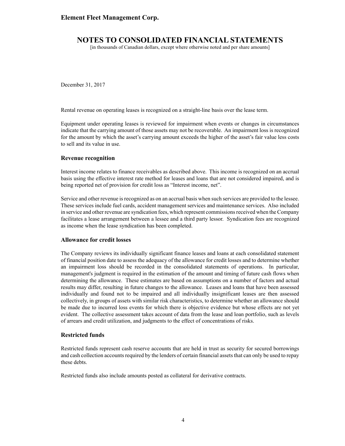### **NOTES TO CONSOLIDATED FINANCIAL STATEMENTS**

[in thousands of Canadian dollars, except where otherwise noted and per share amounts]

December 31, 2017

Rental revenue on operating leases is recognized on a straight-line basis over the lease term.

Equipment under operating leases is reviewed for impairment when events or changes in circumstances indicate that the carrying amount of those assets may not be recoverable. An impairment loss is recognized for the amount by which the asset's carrying amount exceeds the higher of the asset's fair value less costs to sell and its value in use.

#### **Revenue recognition**

Interest income relates to finance receivables as described above. This income is recognized on an accrual basis using the effective interest rate method for leases and loans that are not considered impaired, and is being reported net of provision for credit loss as "Interest income, net".

Service and other revenue is recognized as on an accrual basis when such services are provided to the lessee. These services include fuel cards, accident management services and maintenance services. Also included in service and other revenue are syndication fees, which represent commissions received when the Company facilitates a lease arrangement between a lessee and a third party lessor. Syndication fees are recognized as income when the lease syndication has been completed.

#### **Allowance for credit losses**

The Company reviews its individually significant finance leases and loans at each consolidated statement of financial position date to assess the adequacy of the allowance for credit losses and to determine whether an impairment loss should be recorded in the consolidated statements of operations. In particular, management's judgment is required in the estimation of the amount and timing of future cash flows when determining the allowance. These estimates are based on assumptions on a number of factors and actual results may differ, resulting in future changes to the allowance. Leases and loans that have been assessed individually and found not to be impaired and all individually insignificant leases are then assessed collectively, in groups of assets with similar risk characteristics, to determine whether an allowance should be made due to incurred loss events for which there is objective evidence but whose effects are not yet evident. The collective assessment takes account of data from the lease and loan portfolio, such as levels of arrears and credit utilization, and judgments to the effect of concentrations of risks.

#### **Restricted funds**

Restricted funds represent cash reserve accounts that are held in trust as security for secured borrowings and cash collection accounts required by the lenders of certain financial assets that can only be used to repay these debts.

Restricted funds also include amounts posted as collateral for derivative contracts.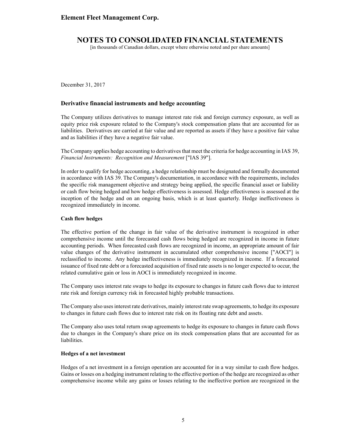[in thousands of Canadian dollars, except where otherwise noted and per share amounts]

December 31, 2017

### **Derivative financial instruments and hedge accounting**

The Company utilizes derivatives to manage interest rate risk and foreign currency exposure, as well as equity price risk exposure related to the Company's stock compensation plans that are accounted for as liabilities. Derivatives are carried at fair value and are reported as assets if they have a positive fair value and as liabilities if they have a negative fair value.

The Company applies hedge accounting to derivatives that meet the criteria for hedge accounting in IAS 39, *Financial Instruments: Recognition and Measurement* ["IAS 39"].

In order to qualify for hedge accounting, a hedge relationship must be designated and formally documented in accordance with IAS 39. The Company's documentation, in accordance with the requirements, includes the specific risk management objective and strategy being applied, the specific financial asset or liability or cash flow being hedged and how hedge effectiveness is assessed. Hedge effectiveness is assessed at the inception of the hedge and on an ongoing basis, which is at least quarterly. Hedge ineffectiveness is recognized immediately in income.

#### **Cash flow hedges**

The effective portion of the change in fair value of the derivative instrument is recognized in other comprehensive income until the forecasted cash flows being hedged are recognized in income in future accounting periods. When forecasted cash flows are recognized in income, an appropriate amount of fair value changes of the derivative instrument in accumulated other comprehensive income ["AOCI"] is reclassified to income. Any hedge ineffectiveness is immediately recognized in income. If a forecasted issuance of fixed rate debt or a forecasted acquisition of fixed rate assets is no longer expected to occur, the related cumulative gain or loss in AOCI is immediately recognized in income.

The Company uses interest rate swaps to hedge its exposure to changes in future cash flows due to interest rate risk and foreign currency risk in forecasted highly probable transactions.

The Company also uses interest rate derivatives, mainly interest rate swap agreements, to hedge its exposure to changes in future cash flows due to interest rate risk on its floating rate debt and assets.

The Company also uses total return swap agreements to hedge its exposure to changes in future cash flows due to changes in the Company's share price on its stock compensation plans that are accounted for as liabilities.

#### **Hedges of a net investment**

Hedges of a net investment in a foreign operation are accounted for in a way similar to cash flow hedges. Gains or losses on a hedging instrument relating to the effective portion of the hedge are recognized as other comprehensive income while any gains or losses relating to the ineffective portion are recognized in the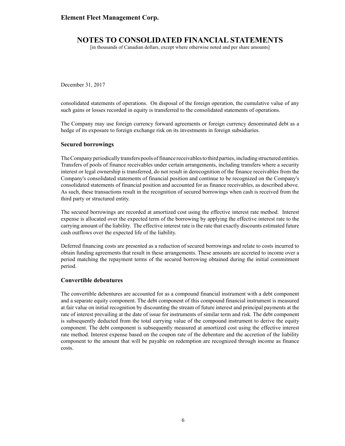# **NOTES TO CONSOLIDATED FINANCIAL STATEMENTS**

[in thousands of Canadian dollars, except where otherwise noted and per share amounts]

December 31, 2017

consolidated statements of operations. On disposal of the foreign operation, the cumulative value of any such gains or losses recorded in equity is transferred to the consolidated statements of operations.

The Company may use foreign currency forward agreements or foreign currency denominated debt as a hedge of its exposure to foreign exchange risk on its investments in foreign subsidiaries.

#### **Secured borrowings**

The Company periodically transfers pools of finance receivables to third parties, including structured entities. Transfers of pools of finance receivables under certain arrangements, including transfers where a security interest or legal ownership is transferred, do not result in derecognition of the finance receivables from the Company's consolidated statements of financial position and continue to be recognized on the Company's consolidated statements of financial position and accounted for as finance receivables, as described above. As such, these transactions result in the recognition of secured borrowings when cash is received from the third party or structured entity.

The secured borrowings are recorded at amortized cost using the effective interest rate method. Interest expense is allocated over the expected term of the borrowing by applying the effective interest rate to the carrying amount of the liability. The effective interest rate is the rate that exactly discounts estimated future cash outflows over the expected life of the liability.

Deferred financing costs are presented as a reduction of secured borrowings and relate to costs incurred to obtain funding agreements that result in these arrangements. These amounts are accreted to income over a period matching the repayment terms of the secured borrowing obtained during the initial commitment period.

#### **Convertible debentures**

The convertible debentures are accounted for as a compound financial instrument with a debt component and a separate equity component. The debt component of this compound financial instrument is measured at fair value on initial recognition by discounting the stream of future interest and principal payments at the rate of interest prevailing at the date of issue for instruments of similar term and risk. The debt component is subsequently deducted from the total carrying value of the compound instrument to derive the equity component. The debt component is subsequently measured at amortized cost using the effective interest rate method. Interest expense based on the coupon rate of the debenture and the accretion of the liability component to the amount that will be payable on redemption are recognized through income as finance costs.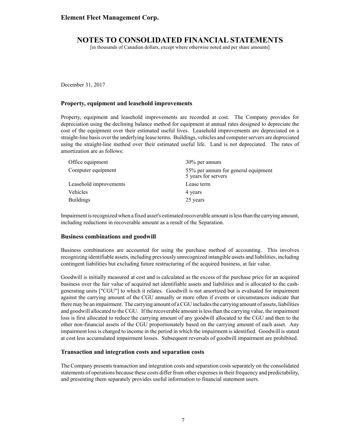[in thousands of Canadian dollars, except where otherwise noted and per share amounts]

December 31, 2017

#### **Property, equipment and leasehold improvements**

Property, equipment and leasehold improvements are recorded at cost. The Company provides for depreciation using the declining balance method for equipment at annual rates designed to depreciate the cost of the equipment over their estimated useful lives. Leasehold improvements are depreciated on a straight-line basis over the underlying lease terms. Buildings, vehicles and computer servers are depreciated using the straight-line method over their estimated useful life. Land is not depreciated. The rates of amortization are as follows:

| Office equipment       | 30% per annum                                              |
|------------------------|------------------------------------------------------------|
| Computer equipment     | 55% per annum for general equipment<br>5 years for servers |
| Leasehold improvements | Lease term                                                 |
| Vehicles               | 4 years                                                    |
| <b>Buildings</b>       | 25 years                                                   |

Impairment is recognized when a fixed asset's estimated recoverable amount is less than the carrying amount, including reductions in recoverable amount as a result of the Separation.

#### **Business combinations and goodwill**

Business combinations are accounted for using the purchase method of accounting. This involves recognizing identifiable assets, including previously unrecognized intangible assets and liabilities, including contingent liabilities but excluding future restructuring of the acquired business, at fair value.

Goodwill is initially measured at cost and is calculated as the excess of the purchase price for an acquired business over the fair value of acquired net identifiable assets and liabilities and is allocated to the cashgenerating units ["CGU"] to which it relates. Goodwill is not amortized but is evaluated for impairment against the carrying amount of the CGU annually or more often if events or circumstances indicate that there may be an impairment. The carrying amount of a CGU includes the carrying amount of assets, liabilities and goodwill allocated to the CGU. If the recoverable amount is less than the carrying value, the impairment loss is first allocated to reduce the carrying amount of any goodwill allocated to the CGU and then to the other non-financial assets of the CGU proportionately based on the carrying amount of each asset. Any impairment loss is charged to income in the period in which the impairment is identified. Goodwill is stated at cost less accumulated impairment losses. Subsequent reversals of goodwill impairment are prohibited.

#### **Transaction and integration costs and separation costs**

The Company presents transaction and integration costs and separation costs separately on the consolidated statements of operations because these costs differ from other expenses in their frequency and predictability, and presenting them separately provides useful information to financial statement users.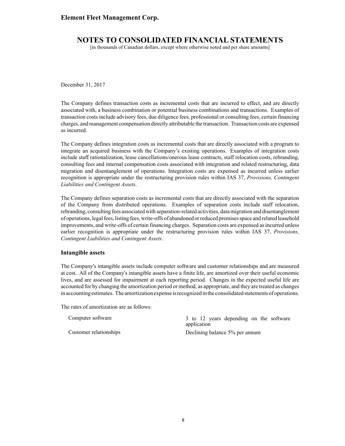# **NOTES TO CONSOLIDATED FINANCIAL STATEMENTS**

[in thousands of Canadian dollars, except where otherwise noted and per share amounts]

December 31, 2017

The Company defines transaction costs as incremental costs that are incurred to effect, and are directly associated with, a business combination or potential business combinations and transactions. Examples of transaction costs include advisory fees, due diligence fees, professional or consulting fees, certain financing charges, and management compensation directly attributable the transaction. Transaction costs are expensed as incurred.

The Company defines integration costs as incremental costs that are directly associated with a program to integrate an acquired business with the Company's existing operations. Examples of integration costs include staff rationalization, lease cancellations/onerous lease contracts, staff relocation costs, rebranding, consulting fees and internal compensation costs associated with integration and related restructuring, data migration and disentanglement of operations. Integration costs are expensed as incurred unless earlier recognition is appropriate under the restructuring provision rules within IAS 37, *Provisions, Contingent Liabilities and Contingent Assets*.

The Company defines separation costs as incremental costs that are directly associated with the separation of the Company from distributed operations. Examples of separation costs include staff relocation, rebranding, consulting fees associated with separation-related activities, data migration and disentanglement of operations, legal fees, listing fees, write-offs of abandoned or reduced premises space and related leasehold improvements, and write-offs of certain financing charges. Separation costs are expensed as incurred unless earlier recognition is appropriate under the restructuring provision rules within IAS 37, *Provisions, Contingent Liabilities and Contingent Assets*.

#### **Intangible assets**

The Company's intangible assets include computer software and customer relationships and are measured at cost. All of the Company's intangible assets have a finite life, are amortized over their useful economic lives, and are assessed for impairment at each reporting period. Changes in the expected useful life are accounted for by changing the amortization period or method, as appropriate, and they are treated as changes in accounting estimates. The amortization expense is recognized in the consolidated statements of operations.

The rates of amortization are as follows:

Computer software 3 to 12 years depending on the software application Customer relationships Declining balance 5% per annum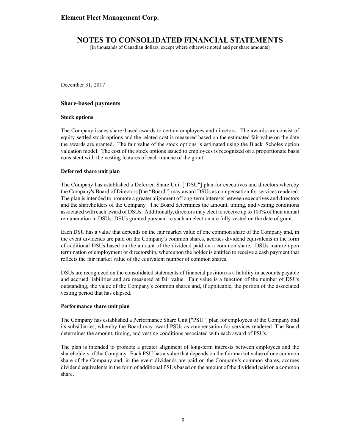[in thousands of Canadian dollars, except where otherwise noted and per share amounts]

December 31, 2017

#### **Share-based payments**

#### **Stock options**

The Company issues share based awards to certain employees and directors. The awards are consist of equity-settled stock options and the related cost is measured based on the estimated fair value on the date the awards are granted. The fair value of the stock options is estimated using the Black-Scholes option valuation model. The cost of the stock options issued to employees is recognized on a proportionate basis consistent with the vesting features of each tranche of the grant.

#### **Deferred share unit plan**

The Company has established a Deferred Share Unit ["DSU"] plan for executives and directors whereby the Company's Board of Directors [the "Board"] may award DSUs as compensation for services rendered. The plan is intended to promote a greater alignment of long-term interests between executives and directors and the shareholders of the Company. The Board determines the amount, timing, and vesting conditions associated with each award of DSUs. Additionally, directors may elect to receive up to 100% of their annual remuneration in DSUs. DSUs granted pursuant to such an election are fully vested on the date of grant.

Each DSU has a value that depends on the fair market value of one common share of the Company and, in the event dividends are paid on the Company's common shares, accrues dividend equivalents in the form of additional DSUs based on the amount of the dividend paid on a common share. DSUs mature upon termination of employment or directorship, whereupon the holder is entitled to receive a cash payment that reflects the fair market value of the equivalent number of common shares.

DSUs are recognized on the consolidated statements of financial position as a liability in accounts payable and accrued liabilities and are measured at fair value. Fair value is a function of the number of DSUs outstanding, the value of the Company's common shares and, if applicable, the portion of the associated vesting period that has elapsed.

#### **Performance share unit plan**

The Company has established a Performance Share Unit ["PSU"] plan for employees of the Company and its subsidiaries, whereby the Board may award PSUs as compensation for services rendered. The Board determines the amount, timing, and vesting conditions associated with each award of PSUs.

The plan is intended to promote a greater alignment of long-term interests between employees and the shareholders of the Company. Each PSU has a value that depends on the fair market value of one common share of the Company and, in the event dividends are paid on the Company's common shares, accrues dividend equivalents in the form of additional PSUs based on the amount of the dividend paid on a common share.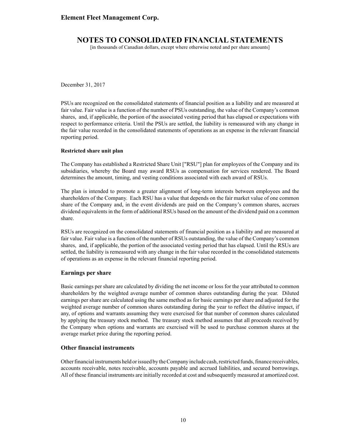[in thousands of Canadian dollars, except where otherwise noted and per share amounts]

December 31, 2017

PSUs are recognized on the consolidated statements of financial position as a liability and are measured at fair value. Fair value is a function of the number of PSUs outstanding, the value of the Company's common shares, and, if applicable, the portion of the associated vesting period that has elapsed or expectations with respect to performance criteria. Until the PSUs are settled, the liability is remeasured with any change in the fair value recorded in the consolidated statements of operations as an expense in the relevant financial reporting period.

#### **Restricted share unit plan**

The Company has established a Restricted Share Unit ["RSU"] plan for employees of the Company and its subsidiaries, whereby the Board may award RSUs as compensation for services rendered. The Board determines the amount, timing, and vesting conditions associated with each award of RSUs.

The plan is intended to promote a greater alignment of long-term interests between employees and the shareholders of the Company. Each RSU has a value that depends on the fair market value of one common share of the Company and, in the event dividends are paid on the Company's common shares, accrues dividend equivalents in the form of additional RSUs based on the amount of the dividend paid on a common share.

RSUs are recognized on the consolidated statements of financial position as a liability and are measured at fair value. Fair value is a function of the number of RSUs outstanding, the value of the Company's common shares, and, if applicable, the portion of the associated vesting period that has elapsed. Until the RSUs are settled, the liability is remeasured with any change in the fair value recorded in the consolidated statements of operations as an expense in the relevant financial reporting period.

#### **Earnings per share**

Basic earnings per share are calculated by dividing the net income or loss for the year attributed to common shareholders by the weighted average number of common shares outstanding during the year. Diluted earnings per share are calculated using the same method as for basic earnings per share and adjusted for the weighted average number of common shares outstanding during the year to reflect the dilutive impact, if any, of options and warrants assuming they were exercised for that number of common shares calculated by applying the treasury stock method. The treasury stock method assumes that all proceeds received by the Company when options and warrants are exercised will be used to purchase common shares at the average market price during the reporting period.

#### **Other financial instruments**

Other financial instruments held or issued by the Company include cash, restricted funds, finance receivables, accounts receivable, notes receivable, accounts payable and accrued liabilities, and secured borrowings. All of these financial instruments are initially recorded at cost and subsequently measured at amortized cost.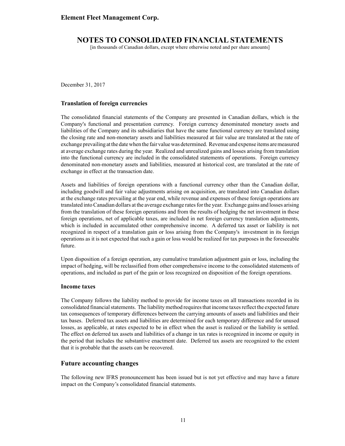[in thousands of Canadian dollars, except where otherwise noted and per share amounts]

December 31, 2017

#### **Translation of foreign currencies**

The consolidated financial statements of the Company are presented in Canadian dollars, which is the Company's functional and presentation currency. Foreign currency denominated monetary assets and liabilities of the Company and its subsidiaries that have the same functional currency are translated using the closing rate and non-monetary assets and liabilities measured at fair value are translated at the rate of exchange prevailing at the date when the fair value was determined. Revenue and expense items are measured at average exchange rates during the year. Realized and unrealized gains and losses arising from translation into the functional currency are included in the consolidated statements of operations. Foreign currency denominated non-monetary assets and liabilities, measured at historical cost, are translated at the rate of exchange in effect at the transaction date.

Assets and liabilities of foreign operations with a functional currency other than the Canadian dollar, including goodwill and fair value adjustments arising on acquisition, are translated into Canadian dollars at the exchange rates prevailing at the year end, while revenue and expenses of these foreign operations are translated into Canadian dollars at the average exchange rates for the year. Exchange gains and losses arising from the translation of these foreign operations and from the results of hedging the net investment in these foreign operations, net of applicable taxes, are included in net foreign currency translation adjustments, which is included in accumulated other comprehensive income. A deferred tax asset or liability is not recognized in respect of a translation gain or loss arising from the Company's investment in its foreign operations as it is not expected that such a gain or loss would be realized for tax purposes in the foreseeable future.

Upon disposition of a foreign operation, any cumulative translation adjustment gain or loss, including the impact of hedging, will be reclassified from other comprehensive income to the consolidated statements of operations, and included as part of the gain or loss recognized on disposition of the foreign operations.

#### **Income taxes**

The Company follows the liability method to provide for income taxes on all transactions recorded in its consolidated financial statements. The liability method requires that income taxes reflect the expected future tax consequences of temporary differences between the carrying amounts of assets and liabilities and their tax bases. Deferred tax assets and liabilities are determined for each temporary difference and for unused losses, as applicable, at rates expected to be in effect when the asset is realized or the liability is settled. The effect on deferred tax assets and liabilities of a change in tax rates is recognized in income or equity in the period that includes the substantive enactment date. Deferred tax assets are recognized to the extent that it is probable that the assets can be recovered.

### **Future accounting changes**

The following new IFRS pronouncement has been issued but is not yet effective and may have a future impact on the Company's consolidated financial statements.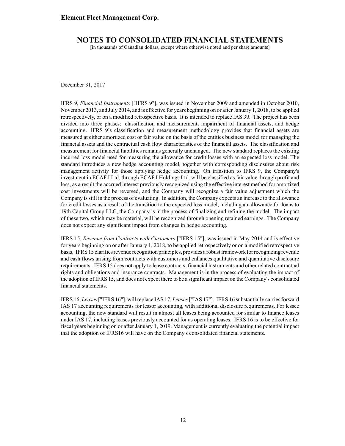# **NOTES TO CONSOLIDATED FINANCIAL STATEMENTS**

[in thousands of Canadian dollars, except where otherwise noted and per share amounts]

December 31, 2017

IFRS 9, *Financial Instruments* ["IFRS 9"], was issued in November 2009 and amended in October 2010, November 2013, and July 2014, and is effective for years beginning on or after January 1, 2018, to be applied retrospectively, or on a modified retrospective basis. It is intended to replace IAS 39. The project has been divided into three phases: classification and measurement, impairment of financial assets, and hedge accounting. IFRS 9's classification and measurement methodology provides that financial assets are measured at either amortized cost or fair value on the basis of the entities business model for managing the financial assets and the contractual cash flow characteristics of the financial assets. The classification and measurement for financial liabilities remains generally unchanged. The new standard replaces the existing incurred loss model used for measuring the allowance for credit losses with an expected loss model. The standard introduces a new hedge accounting model, together with corresponding disclosures about risk management activity for those applying hedge accounting. On transition to IFRS 9, the Company's investment in ECAF I Ltd. through ECAF I Holdings Ltd. will be classified as fair value through profit and loss, as a result the accrued interest previously recognized using the effective interest method for amortized cost investments will be reversed, and the Company will recognize a fair value adjustment which the Company is still in the process of evaluating. In addition, the Company expects an increase to the allowance for credit losses as a result of the transition to the expected loss model, including an allowance for loans to 19th Capital Group LLC, the Company is in the process of finalizing and refining the model. The impact of these two, which may be material, will be recognized through opening retained earnings. The Company does not expect any significant impact from changes in hedge accounting.

IFRS 15, *Revenue from Contracts with Customers* ["IFRS 15"], was issued in May 2014 and is effective for years beginning on or after January 1, 2018, to be applied retrospectively or on a modified retrospective basis. IFRS 15 clarifies revenue recognition principles, provides a robust framework for recognizing revenue and cash flows arising from contracts with customers and enhances qualitative and quantitative disclosure requirements. IFRS 15 does not apply to lease contracts, financial instruments and other related contractual rights and obligations and insurance contracts. Management is in the process of evaluating the impact of the adoption of IFRS 15, and does not expect there to be a significant impact on the Company's consolidated financial statements.

IFRS 16, *Leases*["IFRS 16"], will replace IAS 17, *Leases*["IAS 17"]. IFRS 16 substantially carries forward IAS 17 accounting requirements for lessor accounting, with additional disclosure requirements. For lessee accounting, the new standard will result in almost all leases being accounted for similar to finance leases under IAS 17, including leases previously accounted for as operating leases. IFRS 16 is to be effective for fiscal years beginning on or after January 1, 2019. Management is currently evaluating the potential impact that the adoption of IFRS16 will have on the Company's consolidated financial statements.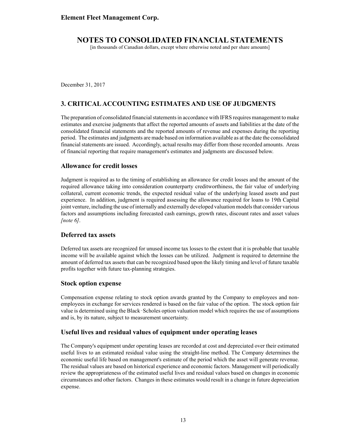[in thousands of Canadian dollars, except where otherwise noted and per share amounts]

December 31, 2017

# **3. CRITICALACCOUNTING ESTIMATES AND USE OF JUDGMENTS**

The preparation of consolidated financial statements in accordance with IFRS requires management to make estimates and exercise judgments that affect the reported amounts of assets and liabilities at the date of the consolidated financial statements and the reported amounts of revenue and expenses during the reporting period. The estimates and judgments are made based on information available as at the date the consolidated financial statements are issued. Accordingly, actual results may differ from those recorded amounts. Areas of financial reporting that require management's estimates and judgments are discussed below.

### **Allowance for credit losses**

Judgment is required as to the timing of establishing an allowance for credit losses and the amount of the required allowance taking into consideration counterparty creditworthiness, the fair value of underlying collateral, current economic trends, the expected residual value of the underlying leased assets and past experience. In addition, judgment is required assessing the allowance required for loans to 19th Capital joint venture, including the use of internally and externally developed valuation models that consider various factors and assumptions including forecasted cash earnings, growth rates, discount rates and asset values *[note 6]*.

### **Deferred tax assets**

Deferred tax assets are recognized for unused income tax losses to the extent that it is probable that taxable income will be available against which the losses can be utilized. Judgment is required to determine the amount of deferred tax assets that can be recognized based upon the likely timing and level of future taxable profits together with future tax-planning strategies.

### **Stock option expense**

Compensation expense relating to stock option awards granted by the Company to employees and nonemployees in exchange for services rendered is based on the fair value of the option. The stock option fair value is determined using the Black Scholes option valuation model which requires the use of assumptions and is, by its nature, subject to measurement uncertainty.

### **Useful lives and residual values of equipment under operating leases**

The Company's equipment under operating leases are recorded at cost and depreciated over their estimated useful lives to an estimated residual value using the straight-line method. The Company determines the economic useful life based on management's estimate of the period which the asset will generate revenue. The residual values are based on historical experience and economic factors. Management will periodically review the appropriateness of the estimated useful lives and residual values based on changes in economic circumstances and other factors. Changes in these estimates would result in a change in future depreciation expense.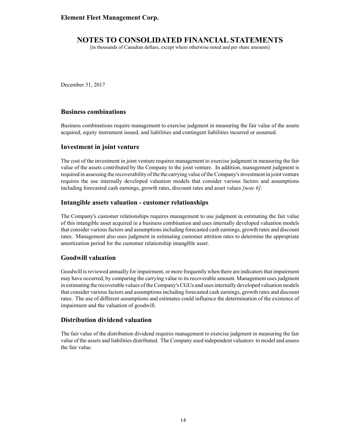[in thousands of Canadian dollars, except where otherwise noted and per share amounts]

December 31, 2017

### **Business combinations**

Business combinations require management to exercise judgment in measuring the fair value of the assets acquired, equity instrument issued, and liabilities and contingent liabilities incurred or assumed.

### **Investment in joint venture**

The cost of the investment in joint venture requires management to exercise judgment in measuring the fair value of the assets contributed by the Company to the joint venture. In addition, management judgment is required in assessing the recoverability of the the carrying value of the Company's investment in joint venture requires the use internally developed valuation models that consider various factors and assumptions including forecasted cash earnings, growth rates, discount rates and asset values *[note 6]*.

### **Intangible assets valuation - customer relationships**

The Company's customer relationships requires management to use judgment in estimating the fair value of this intangible asset acquired in a business combination and uses internally developed valuation models that consider various factors and assumptions including forecasted cash earnings, growth rates and discount rates. Management also uses judgment in estimating customer attrition rates to determine the appropriate amortization period for the customer relationship intangible asset.

### **Goodwill valuation**

Goodwill is reviewed annually for impairment, or more frequently when there are indicators that impairment may have occurred, by comparing the carrying value to its recoverable amount. Management uses judgment in estimating the recoverable values of the Company's CGUs and uses internally developed valuation models that consider various factors and assumptions including forecasted cash earnings, growth rates and discount rates. The use of different assumptions and estimates could influence the determination of the existence of impairment and the valuation of goodwill.

### **Distribution dividend valuation**

The fair value of the distribution dividend requires management to exercise judgment in measuring the fair value of the assets and liabilities distributed. The Company used independent valuators to model and assess the fair value.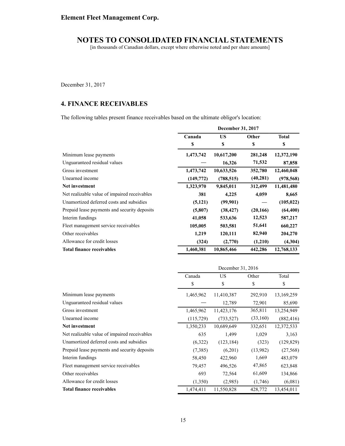[in thousands of Canadian dollars, except where otherwise noted and per share amounts]

December 31, 2017

# **4. FINANCE RECEIVABLES**

The following tables present finance receivables based on the ultimate obligor's location:

|                                              |           | December 31, 2017 |           |              |  |
|----------------------------------------------|-----------|-------------------|-----------|--------------|--|
|                                              | Canada    | <b>US</b>         | Other     | <b>Total</b> |  |
|                                              | \$        | \$                | \$        | \$           |  |
| Minimum lease payments                       | 1,473,742 | 10,617,200        | 281,248   | 12,372,190   |  |
| Unguaranteed residual values                 |           | 16,326            | 71,532    | 87,858       |  |
| Gross investment                             | 1,473,742 | 10,633,526        | 352,780   | 12,460,048   |  |
| Unearned income                              | (149,772) | (788, 515)        | (40, 281) | (978, 568)   |  |
| Net investment                               | 1,323,970 | 9,845,011         | 312,499   | 11,481,480   |  |
| Net realizable value of impaired receivables | 381       | 4,225             | 4,059     | 8,665        |  |
| Unamortized deferred costs and subsidies     | (5, 121)  | (99, 901)         |           | (105, 022)   |  |
| Prepaid lease payments and security deposits | (5,807)   | (38, 427)         | (20, 166) | (64, 400)    |  |
| Interim fundings                             | 41,058    | 533,636           | 12,523    | 587,217      |  |
| Fleet management service receivables         | 105,005   | 503,581           | 51,641    | 660,227      |  |
| Other receivables                            | 1,219     | 120,111           | 82,940    | 204,270      |  |
| Allowance for credit losses                  | (324)     | (2,770)           | (1,210)   | (4,304)      |  |
| <b>Total finance receivables</b>             | 1,460,381 | 10,865,466        | 442,286   | 12,768,133   |  |

|                                              | December 31, 2016 |            |          |            |
|----------------------------------------------|-------------------|------------|----------|------------|
|                                              | Canada            | US         | Other    | Total      |
|                                              | \$                | \$         | \$       | \$         |
| Minimum lease payments                       | 1,465,962         | 11,410,387 | 292,910  | 13,169,259 |
| Unguaranteed residual values                 |                   | 12,789     | 72,901   | 85,690     |
| Gross investment                             | 1,465,962         | 11,423,176 | 365,811  | 13,254,949 |
| Unearned income                              | (115, 729)        | (733, 527) | (33,160) | (882, 416) |
| Net investment                               | 1,350,233         | 10,689,649 | 332,651  | 12,372,533 |
| Net realizable value of impaired receivables | 635               | 1,499      | 1,029    | 3,163      |
| Unamortized deferred costs and subsidies     | (6,322)           | (123, 184) | (323)    | (129, 829) |
| Prepaid lease payments and security deposits | (7,385)           | (6,201)    | (13,982) | (27, 568)  |
| Interim fundings                             | 58,450            | 422,960    | 1,669    | 483,079    |
| Fleet management service receivables         | 79,457            | 496,526    | 47,865   | 623,848    |
| Other receivables                            | 693               | 72,564     | 61,609   | 134,866    |
| Allowance for credit losses                  | (1,350)           | (2,985)    | (1,746)  | (6,081)    |
| <b>Total finance receivables</b>             | 1,474,411         | 11,550,828 | 428,772  | 13,454,011 |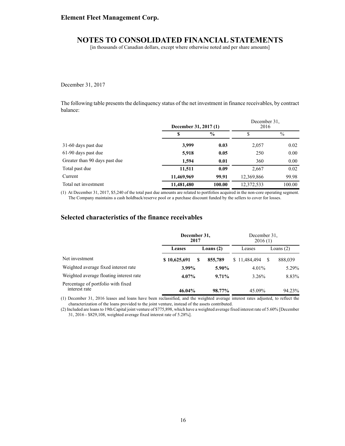[in thousands of Canadian dollars, except where otherwise noted and per share amounts]

December 31, 2017

The following table presents the delinquency status of the net investment in finance receivables, by contract balance:

|                               | December 31, 2017 (1) |               | December 31.<br>2016 |               |
|-------------------------------|-----------------------|---------------|----------------------|---------------|
|                               | S                     | $\frac{6}{9}$ | \$                   | $\frac{0}{0}$ |
| 31-60 days past due           | 3,999                 | 0.03          | 2,057                | 0.02          |
| 61-90 days past due           | 5,918                 | 0.05          | 250                  | 0.00          |
| Greater than 90 days past due | 1,594                 | 0.01          | 360                  | 0.00          |
| Total past due                | 11,511                | 0.09          | 2,667                | 0.02          |
| Current                       | 11,469,969            | 99.91         | 12,369,866           | 99.98         |
| Total net investment          | 11,481,480            | 100.00        | 12,372,533           | 100.00        |

(1) At December 31, 2017, \$5,240 of the total past due amounts are related to portfolios acquired in the non-core operating segment. The Company maintains a cash holdback/reserve pool or a purchase discount funded by the sellers to cover for losses.

### **Selected characteristics of the finance receivables**

|                                                     | December 31,<br>2017 | December 31.<br>2016(1) |              |  |             |
|-----------------------------------------------------|----------------------|-------------------------|--------------|--|-------------|
|                                                     | <b>Leases</b>        | Loans $(2)$             | Leases       |  | Loans $(2)$ |
| Net investment                                      | \$10,625,691         | 855,789<br>S            | \$11,484,494 |  | 888,039     |
| Weighted average fixed interest rate                | $3.99\%$             | 5.90%                   | 4.01%        |  | 5.29%       |
| Weighted average floating interest rate             | $4.07\%$             | $9.71\%$                | 3.26%        |  | 8.83%       |
| Percentage of portfolio with fixed<br>interest rate | 46.04%               | 98.77%                  | 45.09%       |  | 94.23%      |

(1) December 31, 2016 leases and loans have been reclassified, and the weighted average interest rates adjusted, to reflect the characterization of the loans provided to the joint venture, instead of the assets contributed.

(2) Included are loans to 19th Capital joint venture of \$775,898, which have a weighted average fixed interest rate of 5.60% [December 31, 2016 - \$829,108, weighted average fixed interest rate of 5.28%].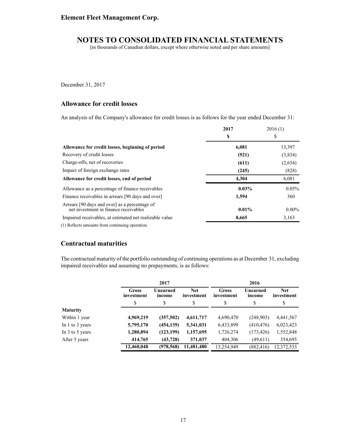[in thousands of Canadian dollars, except where otherwise noted and per share amounts]

December 31, 2017

### **Allowance for credit losses**

An analysis of the Company's allowance for credit losses is as follows for the year ended December 31:

|                                                                                                                                                                                                                               | 2017     | 2016(1)  |
|-------------------------------------------------------------------------------------------------------------------------------------------------------------------------------------------------------------------------------|----------|----------|
|                                                                                                                                                                                                                               | \$       | S        |
| Allowance for credit losses, beginning of period                                                                                                                                                                              | 6,081    | 13,397   |
| Recovery of credit losses                                                                                                                                                                                                     | (921)    | (3,834)  |
| Charge-offs, net of recoveries                                                                                                                                                                                                | (611)    | (2,654)  |
| Impact of foreign exchange rates                                                                                                                                                                                              | (245)    | (828)    |
| Allowance for credit losses, end of period                                                                                                                                                                                    | 4.304    | 6,081    |
| Allowance as a percentage of finance receivables                                                                                                                                                                              | $0.03\%$ | 0.05%    |
| Finance receivables in arrears [90 days and over]                                                                                                                                                                             | 1,594    | 360      |
| Arrears [90 days and over] as a percentage of<br>net investment in finance receivables                                                                                                                                        | 0.01%    | $0.00\%$ |
| Impaired receivables, at estimated net realizable value                                                                                                                                                                       | 8,665    | 3,163    |
| $(1)$ in $(1)$ in $(1)$ in $(1)$ in $(1)$ in $(1)$ in $(1)$ in $(1)$ in $(1)$ in $(1)$ in $(1)$ in $(1)$ in $(1)$ in $(1)$ in $(1)$ in $(1)$ in $(1)$ in $(1)$ in $(1)$ in $(1)$ in $(1)$ in $(1)$ in $(1)$ in $(1)$ in $(1)$ |          |          |

(1) Reflects amounts from continuing operation.

### **Contractual maturities**

The contractual maturity of the portfolio outstanding of continuing operations as at December 31, excluding impaired receivables and assuming no prepayments, is as follows:

|                     |                     | 2017               |                          |                     | 2016               |                          |
|---------------------|---------------------|--------------------|--------------------------|---------------------|--------------------|--------------------------|
|                     | Gross<br>investment | Unearned<br>income | <b>Net</b><br>investment | Gross<br>investment | Unearned<br>income | <b>Net</b><br>investment |
|                     | \$                  | \$                 | S                        | \$                  | \$                 | \$                       |
| <b>Maturity</b>     |                     |                    |                          |                     |                    |                          |
| Within 1 year       | 4,969,219           | (357,502)          | 4,611,717                | 4,690,470           | (248,903)          | 4,441,567                |
| In 1 to 3 years     | 5,795,170           | (454, 139)         | 5,341,031                | 6,433,899           | (410, 476)         | 6,023,423                |
| In $3$ to $5$ years | 1,280,894           | (123, 199)         | 1,157,695                | 1,726,274           | (173, 426)         | 1,552,848                |
| After 5 years       | 414,765             | (43, 728)          | 371,037                  | 404,306             | (49,611)           | 354,695                  |
|                     | 12,460,048          | (978, 568)         | 11,481,480               | 13,254,949          | (882, 416)         | 12,372,533               |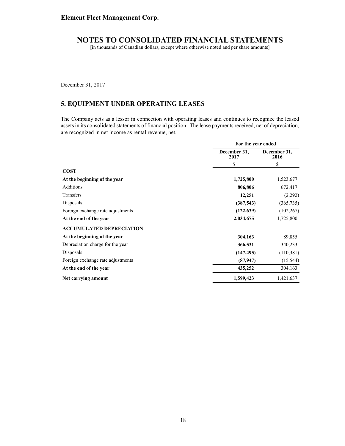[in thousands of Canadian dollars, except where otherwise noted and per share amounts]

December 31, 2017

# **5. EQUIPMENT UNDER OPERATING LEASES**

The Company acts as a lessor in connection with operating leases and continues to recognize the leased assets in its consolidated statements of financial position. The lease payments received, net of depreciation, are recognized in net income as rental revenue, net.

|                                   | For the year ended   |                      |  |
|-----------------------------------|----------------------|----------------------|--|
|                                   | December 31,<br>2017 | December 31,<br>2016 |  |
|                                   | \$                   | \$                   |  |
| <b>COST</b>                       |                      |                      |  |
| At the beginning of the year      | 1,725,800            | 1,523,677            |  |
| <b>Additions</b>                  | 806,806              | 672,417              |  |
| Transfers                         | 12,251               | (2,292)              |  |
| Disposals                         | (387, 543)           | (365, 735)           |  |
| Foreign exchange rate adjustments | (122, 639)           | (102, 267)           |  |
| At the end of the year            | 2,034,675            | 1,725,800            |  |
| <b>ACCUMULATED DEPRECIATION</b>   |                      |                      |  |
| At the beginning of the year      | 304,163              | 89,855               |  |
| Depreciation charge for the year  | 366,531              | 340,233              |  |
| Disposals                         | (147, 495)           | (110,381)            |  |
| Foreign exchange rate adjustments | (87, 947)            | (15, 544)            |  |
| At the end of the year            | 435,252              | 304,163              |  |
| Net carrying amount               | 1,599,423            | 1,421,637            |  |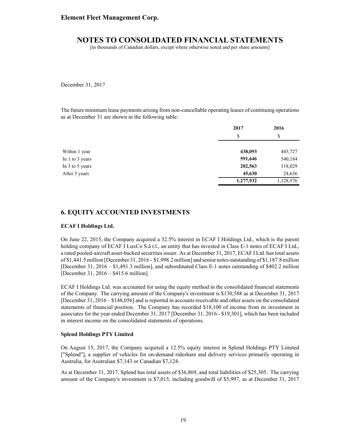[in thousands of Canadian dollars, except where otherwise noted and per share amounts]

December 31, 2017

The future minimum lease payments arising from non-cancellable operating leases of continuing operations as at December 31 are shown in the following table:

|                 | 2017      | 2016      |  |
|-----------------|-----------|-----------|--|
|                 | \$        | \$        |  |
|                 |           |           |  |
| Within 1 year   | 438,093   | 445,727   |  |
| In 1 to 3 years | 591,646   | 540,184   |  |
| In 3 to 5 years | 202,563   | 118,029   |  |
| After 5 years   | 45,630    | 24,636    |  |
|                 | 1,277,932 | 1,128,576 |  |

## **6. EQUITY ACCOUNTED INVESTMENTS**

#### **ECAF I Holdings Ltd.**

On June 22, 2015, the Company acquired a 32.5% interest in ECAF I Holdings Ltd., which is the parent holding company of ECAF I LuxCo S.à r.l., an entity that has invested in Class E-1 notes of ECAF I Ltd., a rated pooled-aircraft asset-backed securities issuer. As at December 31, 2017, ECAF I Ltd. has total assets of \$1,441.5 million [December 31, 2016 - \$1,998.2 million] and senior notes outstanding of \$1,187.8 million [December 31, 2016 – \$1,491.3 million], and subordinated Class E-1 notes outstanding of \$402.2 million [December 31, 2016 – \$415.6 million].

ECAF I Holdings Ltd. was accounted for using the equity method in the consolidated financial statements of the Company. The carrying amount of the Company's investment is \$130,588 as at December 31, 2017 [December 31, 2016 – \$148,056] and is reported in accounts receivable and other assets on the consolidated statements of financial position. The Company has recorded \$18,100 of income from its investment in associates for the year ended December 31, 2017 [December 31, 2016 - \$19,301], which has been included in interest income on the consolidated statements of operations.

#### **Splend Holdings PTY Limited**

On August 15, 2017, the Company acquired a 12.5% equity interest in Splend Holdings PTY Limited ["Splend"], a supplier of vehicles for on-demand rideshare and delivery services primarily operating in Australia, for Australian \$7,143 or Canadian \$7,124.

As at December 31, 2017, Splend has total assets of \$36,869, and total liabilities of \$25,305. The carrying amount of the Company's investment is \$7,015, including goodwill of \$5,997, as at December 31, 2017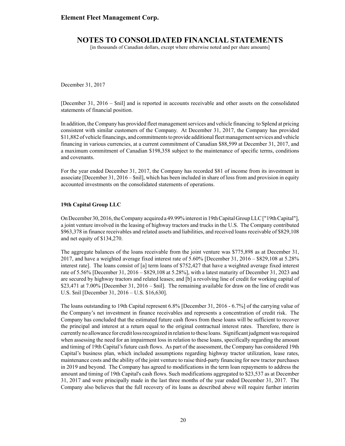[in thousands of Canadian dollars, except where otherwise noted and per share amounts]

December 31, 2017

[December 31, 2016 – \$nil] and is reported in accounts receivable and other assets on the consolidated statements of financial position.

In addition, the Company has provided fleet management services and vehicle financing to Splend at pricing consistent with similar customers of the Company. At December 31, 2017, the Company has provided \$11,882 of vehicle financings, and commitments to provide additional fleet management services and vehicle financing in various currencies, at a current commitment of Canadian \$88,599 at December 31, 2017, and a maximum commitment of Canadian \$198,358 subject to the maintenance of specific terms, conditions and covenants.

For the year ended December 31, 2017, the Company has recorded \$81 of income from its investment in associate [December 31, 2016 – \$nil], which has been included in share of loss from and provision in equity accounted investments on the consolidated statements of operations.

#### **19th Capital Group LLC**

On December 30, 2016, the Company acquired a 49.99% interest in 19th Capital Group LLC ["19th Capital"], a joint venture involved in the leasing of highway tractors and trucks in the U.S. The Company contributed \$963,378 in finance receivables and related assets and liabilities, and received loans receivable of \$829,108 and net equity of \$134,270.

The aggregate balances of the loans receivable from the joint venture was \$775,898 as at December 31, 2017, and have a weighted average fixed interest rate of 5.60% [December 31, 2016 – \$829,108 at 5.28% interest rate]. The loans consist of [a] term loans of \$752,427 that have a weighted average fixed interest rate of 5.56% [December 31, 2016 – \$829,108 at 5.28%], with a latest maturity of December 31, 2023 and are secured by highway tractors and related leases; and [b] a revolving line of credit for working capital of \$23,471 at 7.00% [December 31, 2016 – \$nil]. The remaining available for draw on the line of credit was U.S. \$nil [December 31, 2016 – U.S. \$16,630].

The loans outstanding to 19th Capital represent 6.8% [December 31, 2016 - 6.7%] of the carrying value of the Company's net investment in finance receivables and represents a concentration of credit risk. The Company has concluded that the estimated future cash flows from these loans will be sufficient to recover the principal and interest at a return equal to the original contractual interest rates. Therefore, there is currently no allowance for credit loss recognized in relation to these loans. Significant judgment was required when assessing the need for an impairment loss in relation to these loans, specifically regarding the amount and timing of 19th Capital's future cash flows. As part of the assessment, the Company has considered 19th Capital's business plan, which included assumptions regarding highway tractor utilization, lease rates, maintenance costs and the ability of the joint venture to raise third-party financing for new tractor purchases in 2019 and beyond. The Company has agreed to modifications in the term loan repayments to address the amount and timing of 19th Capital's cash flows. Such modifications aggregated to \$23,537 as at December 31, 2017 and were principally made in the last three months of the year ended December 31, 2017. The Company also believes that the full recovery of its loans as described above will require further interim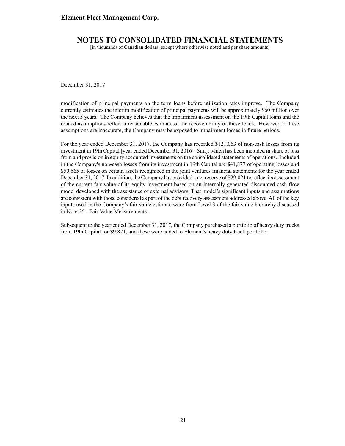### **NOTES TO CONSOLIDATED FINANCIAL STATEMENTS**

[in thousands of Canadian dollars, except where otherwise noted and per share amounts]

December 31, 2017

modification of principal payments on the term loans before utilization rates improve. The Company currently estimates the interim modification of principal payments will be approximately \$60 million over the next 5 years. The Company believes that the impairment assessment on the 19th Capital loans and the related assumptions reflect a reasonable estimate of the recoverability of these loans. However, if these assumptions are inaccurate, the Company may be exposed to impairment losses in future periods.

For the year ended December 31, 2017, the Company has recorded \$121,063 of non-cash losses from its investment in 19th Capital [year ended December 31, 2016 – \$nil], which has been included in share of loss from and provision in equity accounted investments on the consolidated statements of operations. Included in the Company's non-cash losses from its investment in 19th Capital are \$41,377 of operating losses and \$50,665 of losses on certain assets recognized in the joint ventures financial statements for the year ended December 31, 2017. In addition, the Company has provided a net reserve of \$29,021 to reflect its assessment of the current fair value of its equity investment based on an internally generated discounted cash flow model developed with the assistance of external advisors. That model's significant inputs and assumptions are consistent with those considered as part of the debt recovery assessment addressed above.All of the key inputs used in the Company's fair value estimate were from Level 3 of the fair value hierarchy discussed in Note 25 - Fair Value Measurements.

Subsequent to the year ended December 31, 2017, the Company purchased a portfolio of heavy duty trucks from 19th Capital for \$9,821, and these were added to Element's heavy duty truck portfolio.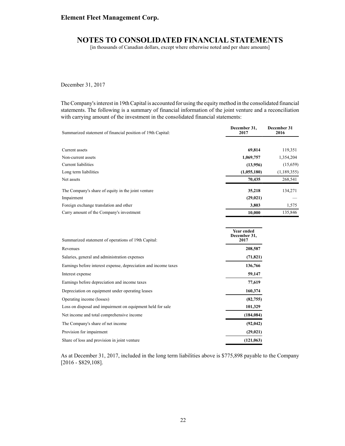# **NOTES TO CONSOLIDATED FINANCIAL STATEMENTS**

[in thousands of Canadian dollars, except where otherwise noted and per share amounts]

December 31, 2017

The Company's interest in 19th Capital is accounted for using the equity method in the consolidated financial statements. The following is a summary of financial information of the joint venture and a reconciliation with carrying amount of the investment in the consolidated financial statements:

| Summarized statement of financial position of 19th Capital: | December 31,<br>2017                      | December 31<br>2016 |  |
|-------------------------------------------------------------|-------------------------------------------|---------------------|--|
|                                                             |                                           |                     |  |
| Current assets                                              | 69,814                                    | 119,351             |  |
| Non-current assets                                          | 1,069,757                                 | 1,354,204           |  |
| Current liabilities                                         | (13,956)                                  | (15,659)            |  |
| Long term liabilities                                       | (1,055,180)                               | (1,189,355)         |  |
| Net assets                                                  | 70,435                                    | 268,541             |  |
| The Company's share of equity in the joint venture          | 35,218                                    | 134,271             |  |
| Impairment                                                  | (29, 021)                                 |                     |  |
| Foreign exchange translation and other                      | 3,803                                     | 1,575               |  |
| Carry amount of the Company's investment                    | 10,000                                    | 135,846             |  |
| Summarized statement of operations of 19th Capital:         | <b>Year ended</b><br>December 31,<br>2017 |                     |  |
|                                                             |                                           |                     |  |
| Revenues                                                    | 208,587                                   |                     |  |
| Salaries, general and administration expenses               | (71, 821)                                 |                     |  |

| Salaries, general and administration expenses                   | (71, 821)  |
|-----------------------------------------------------------------|------------|
| Earnings before interest expense, depreciation and income taxes | 136,766    |
| Interest expense                                                | 59,147     |
| Earnings before depreciation and income taxes                   | 77,619     |
| Depreciation on equipment under operating leases                | 160,374    |
| Operating income (losses)                                       | (82, 755)  |
| Loss on disposal and impairment on equipment held for sale      | 101,329    |
| Net income and total comprehensive income                       | (184, 084) |
| The Company's share of net income                               | (92, 042)  |
| Provision for impairment                                        | (29, 021)  |
| Share of loss and provision in joint venture                    | (121, 063) |
|                                                                 |            |

As at December 31, 2017, included in the long term liabilities above is \$775,898 payable to the Company [2016 - \$829,108].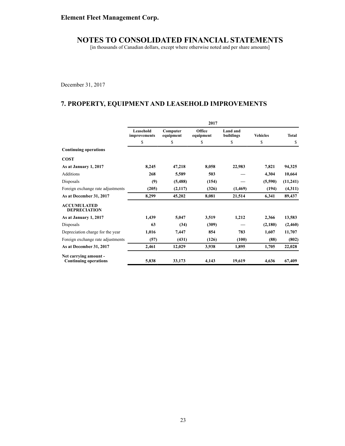[in thousands of Canadian dollars, except where otherwise noted and per share amounts]

December 31, 2017

# **7. PROPERTY, EQUIPMENT AND LEASEHOLD IMPROVEMENTS**

|                                                       | 2017                      |                       |                     |                       |                 |              |
|-------------------------------------------------------|---------------------------|-----------------------|---------------------|-----------------------|-----------------|--------------|
|                                                       | Leasehold<br>improvements | Computer<br>equipment | Office<br>equipment | Land and<br>buildings | <b>Vehicles</b> | <b>Total</b> |
|                                                       | \$                        | \$                    | \$                  | \$                    | \$              | \$           |
| <b>Continuing operations</b>                          |                           |                       |                     |                       |                 |              |
| <b>COST</b>                                           |                           |                       |                     |                       |                 |              |
| As at January 1, 2017                                 | 8,245                     | 47,218                | 8,058               | 22,983                | 7,821           | 94,325       |
| Additions                                             | 268                       | 5,589                 | 503                 |                       | 4,304           | 10,664       |
| Disposals                                             | (9)                       | (5,488)               | (154)               |                       | (5,590)         | (11,241)     |
| Foreign exchange rate adjustments                     | (205)                     | (2,117)               | (326)               | (1,469)               | (194)           | (4,311)      |
| As at December 31, 2017                               | 8,299                     | 45,202                | 8,081               | 21,514                | 6,341           | 89,437       |
| <b>ACCUMULATED</b><br><b>DEPRECIATION</b>             |                           |                       |                     |                       |                 |              |
| As at January 1, 2017                                 | 1,439                     | 5,047                 | 3,519               | 1,212                 | 2,366           | 13,583       |
| Disposals                                             | 63                        | (34)                  | (309)               |                       | (2,180)         | (2,460)      |
| Depreciation charge for the year                      | 1,016                     | 7,447                 | 854                 | 783                   | 1,607           | 11,707       |
| Foreign exchange rate adjustments                     | (57)                      | (431)                 | (126)               | (100)                 | (88)            | (802)        |
| As at December 31, 2017                               | 2,461                     | 12,029                | 3,938               | 1,895                 | 1,705           | 22,028       |
| Net carrying amount -<br><b>Continuing operations</b> | 5,838                     | 33,173                | 4,143               | 19,619                | 4,636           | 67,409       |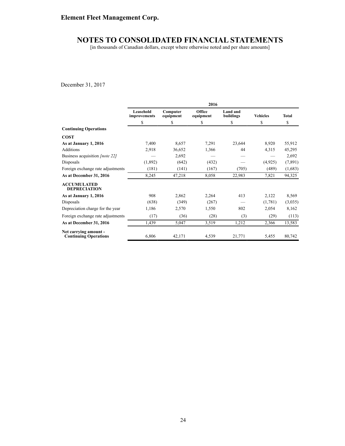[in thousands of Canadian dollars, except where otherwise noted and per share amounts]

December 31, 2017

|                                                       | 2016                      |                       |                     |                       |                 |              |
|-------------------------------------------------------|---------------------------|-----------------------|---------------------|-----------------------|-----------------|--------------|
|                                                       | Leasehold<br>improvements | Computer<br>equipment | Office<br>equipment | Land and<br>buildings | <b>Vehicles</b> | <b>Total</b> |
|                                                       | \$                        | \$                    | \$                  | \$                    | \$              | \$           |
| <b>Continuing Operations</b>                          |                           |                       |                     |                       |                 |              |
| <b>COST</b>                                           |                           |                       |                     |                       |                 |              |
| As at January 1, 2016                                 | 7,400                     | 8,657                 | 7,291               | 23,644                | 8,920           | 55,912       |
| <b>Additions</b>                                      | 2,918                     | 36,652                | 1,366               | 44                    | 4,315           | 45,295       |
| Business acquisition <i>[note 22]</i>                 |                           | 2,692                 |                     |                       |                 | 2,692        |
| Disposals                                             | (1,892)                   | (642)                 | (432)               |                       | (4,925)         | (7, 891)     |
| Foreign exchange rate adjustments                     | (181)                     | (141)                 | (167)               | (705)                 | (489)           | (1,683)      |
| As at December 31, 2016                               | 8,245                     | 47,218                | 8,058               | 22,983                | 7,821           | 94,325       |
| <b>ACCUMULATED</b><br><b>DEPRECIATION</b>             |                           |                       |                     |                       |                 |              |
| As at January 1, 2016                                 | 908                       | 2,862                 | 2,264               | 413                   | 2,122           | 8,569        |
| Disposals                                             | (638)                     | (349)                 | (267)               |                       | (1,781)         | (3,035)      |
| Depreciation charge for the year                      | 1,186                     | 2,570                 | 1,550               | 802                   | 2,054           | 8,162        |
| Foreign exchange rate adjustments                     | (17)                      | (36)                  | (28)                | (3)                   | (29)            | (113)        |
| As at December 31, 2016                               | 1,439                     | 5,047                 | 3,519               | 1,212                 | 2,366           | 13,583       |
| Net carrying amount -<br><b>Continuing Operations</b> | 6,806                     | 42,171                | 4,539               | 21,771                | 5,455           | 80,742       |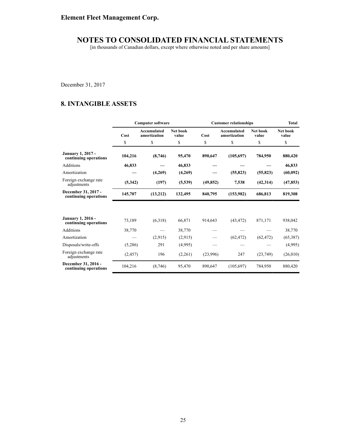[in thousands of Canadian dollars, except where otherwise noted and per share amounts]

December 31, 2017

# **8. INTANGIBLE ASSETS**

|                                                   | <b>Computer software</b> |                             |                   | <b>Customer relationships</b> | <b>Total</b>                       |                   |                   |
|---------------------------------------------------|--------------------------|-----------------------------|-------------------|-------------------------------|------------------------------------|-------------------|-------------------|
|                                                   | Cost                     | Accumulated<br>amortization | Net book<br>value | Cost                          | <b>Accumulated</b><br>amortization | Net book<br>value | Net book<br>value |
|                                                   | \$                       | \$                          | \$                | \$                            | \$                                 | \$                | \$                |
| <b>January 1, 2017 -</b><br>continuing operations | 104,216                  | (8,746)                     | 95,470            | 890,647                       | (105, 697)                         | 784,950           | 880,420           |
| Additions                                         | 46,833                   |                             | 46,833            |                               |                                    |                   | 46,833            |
| Amortization                                      |                          | (4,269)                     | (4,269)           |                               | (55, 823)                          | (55, 823)         | (60, 092)         |
| Foreign exchange rate<br>adjustments              | (5,342)                  | (197)                       | (5,539)           | (49, 852)                     | 7,538                              | (42, 314)         | (47, 853)         |
| December 31, 2017 -<br>continuing operations      | 145,707                  | (13,212)                    | 132,495           | 840,795                       | (153,982)                          | 686,813           | 819,308           |
|                                                   |                          |                             |                   |                               |                                    |                   |                   |
| <b>January 1, 2016 -</b><br>continuing operations | 73,189                   | (6,318)                     | 66,871            | 914,643                       | (43, 472)                          | 871,171           | 938,042           |
| Additions                                         | 38,770                   |                             | 38,770            |                               |                                    |                   | 38,770            |
| Amortization                                      |                          | (2,915)                     | (2,915)           |                               | (62, 472)                          | (62, 472)         | (65,387)          |
| Disposals/write-offs                              | (5,286)                  | 291                         | (4,995)           |                               |                                    |                   | (4,995)           |
| Foreign exchange rate<br>adjustments              | (2, 457)                 | 196                         | (2,261)           | (23,996)                      | 247                                | (23,749)          | (26,010)          |
| December 31, 2016 -<br>continuing operations      | 104,216                  | (8,746)                     | 95,470            | 890,647                       | (105, 697)                         | 784,950           | 880,420           |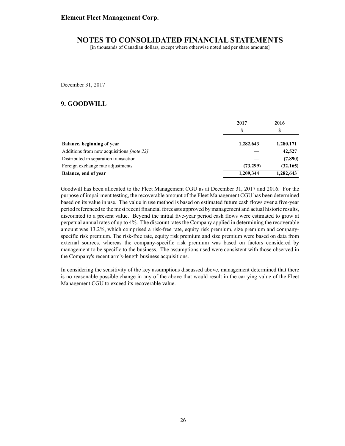[in thousands of Canadian dollars, except where otherwise noted and per share amounts]

December 31, 2017

### **9. GOODWILL**

|                                                  | 2017      | 2016      |  |
|--------------------------------------------------|-----------|-----------|--|
|                                                  | S         | \$        |  |
| Balance, beginning of year                       | 1,282,643 | 1,280,171 |  |
| Additions from new acquisitions <i>[note 22]</i> |           | 42,527    |  |
| Distributed in separation transaction            |           | (7,890)   |  |
| Foreign exchange rate adjustments                | (73,299)  | (32, 165) |  |
| Balance, end of year                             | 1,209,344 | 1,282,643 |  |

Goodwill has been allocated to the Fleet Management CGU as at December 31, 2017 and 2016. For the purpose of impairment testing, the recoverable amount of the Fleet Management CGU has been determined based on its value in use. The value in use method is based on estimated future cash flows over a five-year period referenced to the most recent financial forecasts approved by management and actual historic results, discounted to a present value. Beyond the initial five-year period cash flows were estimated to grow at perpetual annual rates of up to 4%. The discount rates the Company applied in determining the recoverable amount was 13.2%, which comprised a risk-free rate, equity risk premium, size premium and companyspecific risk premium. The risk-free rate, equity risk premium and size premium were based on data from external sources, whereas the company-specific risk premium was based on factors considered by management to be specific to the business. The assumptions used were consistent with those observed in the Company's recent arm's-length business acquisitions.

In considering the sensitivity of the key assumptions discussed above, management determined that there is no reasonable possible change in any of the above that would result in the carrying value of the Fleet Management CGU to exceed its recoverable value.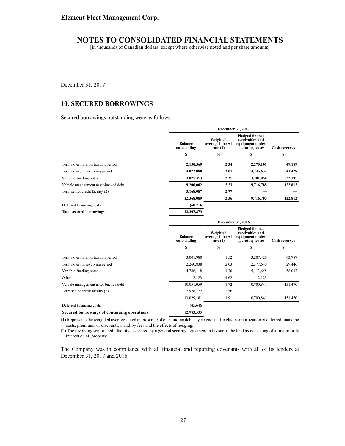[in thousands of Canadian dollars, except where otherwise noted and per share amounts]

December 31, 2017

### **10. SECURED BORROWINGS**

Secured borrowings outstanding were as follows:

|                                             | December 31, 2017             |                                            |                                                                                  |                      |  |  |
|---------------------------------------------|-------------------------------|--------------------------------------------|----------------------------------------------------------------------------------|----------------------|--|--|
|                                             | <b>Balance</b><br>outstanding | Weighted<br>average interest<br>rate $(1)$ | <b>Pledged finance</b><br>receivables and<br>equipment under<br>operating leases | <b>Cash reserves</b> |  |  |
|                                             | \$                            | $\frac{0}{0}$                              | S                                                                                | \$                   |  |  |
| Term notes, in amortization period          | 2,150,569                     | 2.34                                       | 2,270,101                                                                        | 49,189               |  |  |
| Term notes, in revolving period             | 4,022,080                     | 2.07                                       | 4,245,634                                                                        | 41,428               |  |  |
| Variable-funding notes                      | 3,027,353                     | 2.35                                       | 3,201,050                                                                        | 32,195               |  |  |
| Vehicle management asset-backed debt        | 9,200,002                     | 2.23                                       | 9,716,785                                                                        | 122,812              |  |  |
| Term senior credit facility (2)             | 3,168,087                     | 2.77                                       |                                                                                  |                      |  |  |
|                                             | 12,368,089                    | 2.36                                       | 9,716,785                                                                        | 122,812              |  |  |
| Deferred financing costs                    | (60, 216)                     |                                            |                                                                                  |                      |  |  |
| <b>Total secured borrowings</b>             | 12,307,873                    |                                            |                                                                                  |                      |  |  |
|                                             | December 31, 2016             |                                            |                                                                                  |                      |  |  |
|                                             | <b>Balance</b><br>outstanding | Weighted<br>average interest<br>rate $(1)$ | <b>Pledged finance</b><br>receivables and<br>equipment under<br>operating leases | <b>Cash reserves</b> |  |  |
|                                             | \$                            | $\frac{0}{0}$                              | \$                                                                               | \$                   |  |  |
| Term notes, in amortization period          | 3,001,980                     | 1.52                                       | 3,207,420                                                                        | 63,987               |  |  |
| Term notes, in revolving period             | 2,260,838                     | 2.03                                       | 2,377,640                                                                        | 29,446               |  |  |
| Variable-funding notes                      | 4,786,118                     | 1.70                                       | 5,113,658                                                                        | 58,037               |  |  |
| Other                                       | 2,123                         | 4.62                                       | 2,123                                                                            |                      |  |  |
| Vehicle management asset-backed debt        | 10,051,059                    | 1.72                                       | 10,700,841                                                                       | 151,470              |  |  |
| Term senior credit facility (2)             | 2,978,122                     | 2.56                                       |                                                                                  |                      |  |  |
|                                             | 13,029,181                    | 1.91                                       | 10,700,841                                                                       | 151,470              |  |  |
| Deferred financing costs                    | (45, 646)                     |                                            |                                                                                  |                      |  |  |
| Secured borrowings of continuing operations | 12,983,535                    |                                            |                                                                                  |                      |  |  |

(1) Represents the weighted average stated interest rate of outstanding debt at year end, and excludes amortization of deferred financing costs, premiums or discounts, stand-by fees and the effects of hedging.

(2) The revolving senior credit facility is secured by a general security agreement in favour of the lenders consisting of a first priority interest on all property.

The Company was in compliance with all financial and reporting covenants with all of its lenders at December 31, 2017 and 2016.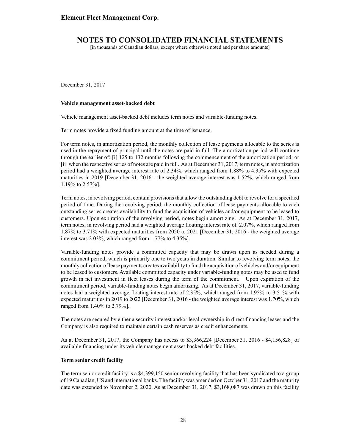[in thousands of Canadian dollars, except where otherwise noted and per share amounts]

December 31, 2017

#### **Vehicle management asset-backed debt**

Vehicle management asset-backed debt includes term notes and variable-funding notes.

Term notes provide a fixed funding amount at the time of issuance.

For term notes, in amortization period, the monthly collection of lease payments allocable to the series is used in the repayment of principal until the notes are paid in full. The amortization period will continue through the earlier of: [i] 125 to 132 months following the commencement of the amortization period; or [ii] when the respective series of notes are paid in full. As at December 31, 2017, term notes, in amortization period had a weighted average interest rate of 2.34%, which ranged from 1.88% to 4.35% with expected maturities in 2019 [December 31, 2016 - the weighted average interest was 1.52%, which ranged from 1.19% to 2.57%].

Term notes, in revolving period, contain provisions that allow the outstanding debt to revolve for a specified period of time. During the revolving period, the monthly collection of lease payments allocable to each outstanding series creates availability to fund the acquisition of vehicles and/or equipment to be leased to customers. Upon expiration of the revolving period, notes begin amortizing. As at December 31, 2017, term notes, in revolving period had a weighted average floating interest rate of 2.07%, which ranged from 1.87% to 3.71% with expected maturities from 2020 to 2021 [December 31, 2016 - the weighted average interest was 2.03%, which ranged from 1.77% to 4.35%].

Variable-funding notes provide a committed capacity that may be drawn upon as needed during a commitment period, which is primarily one to two years in duration. Similar to revolving term notes, the monthly collection of lease payments creates availability to fund the acquisition of vehicles and/or equipment to be leased to customers. Available committed capacity under variable-funding notes may be used to fund growth in net investment in fleet leases during the term of the commitment. Upon expiration of the commitment period, variable-funding notes begin amortizing. As at December 31, 2017, variable-funding notes had a weighted average floating interest rate of 2.35%, which ranged from 1.95% to 3.51% with expected maturities in 2019 to 2022 [December 31, 2016 - the weighted average interest was 1.70%, which ranged from 1.40% to 2.79%].

The notes are secured by either a security interest and/or legal ownership in direct financing leases and the Company is also required to maintain certain cash reserves as credit enhancements.

As at December 31, 2017, the Company has access to \$3,366,224 [December 31, 2016 - \$4,156,828] of available financing under its vehicle management asset-backed debt facilities.

#### **Term senior credit facility**

The term senior credit facility is a \$4,399,150 senior revolving facility that has been syndicated to a group of 19 Canadian, US and international banks. The facility was amended on October 31, 2017 and the maturity date was extended to November 2, 2020. As at December 31, 2017, \$3,168,087 was drawn on this facility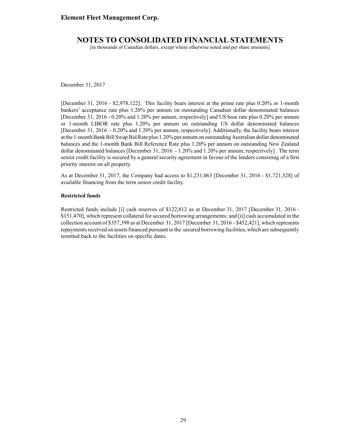[in thousands of Canadian dollars, except where otherwise noted and per share amounts]

December 31, 2017

[December 31, 2016 - \$2,978,122]. This facility bears interest at the prime rate plus 0.20% or 1-month bankers' acceptance rate plus 1.20% per annum on outstanding Canadian dollar denominated balances [December 31, 2016 - 0.20% and 1.20% per annum, respectively] and US base rate plus 0.20% per annum or 1-month LIBOR rate plus 1.20% per annum on outstanding US dollar denominated balances [December 31, 2016 - 0.20% and 1.20% per annum, respectively]. Additionally, the facility bears interest at the 1-month Bank Bill Swap Bid Rate plus 1.20% per annum on outstanding Australian dollar denominated balances and the 1-month Bank Bill Reference Rate plus 1.20% per annum on outstanding New Zealand dollar denominated balances [December 31, 2016 - 1.20% and 1.20% per annum, respectively] . The term senior credit facility is secured by a general security agreement in favour of the lenders consisting of a first priority interest on all property.

As at December 31, 2017, the Company had access to \$1,231,063 [December 31, 2016 - \$1,721,328] of available financing from the term senior credit facility.

#### **Restricted funds**

Restricted funds include [i] cash reserves of \$122,812 as at December 31, 2017 [December 31, 2016 - \$151,470], which represent collateral for secured borrowing arrangements; and [ii] cash accumulated in the collection account of \$357,398 as at December 31, 2017 [December 31, 2016 - \$452,421], which represents repayments received on assets financed pursuant to the secured borrowing facilities, which are subsequently remitted back to the facilities on specific dates.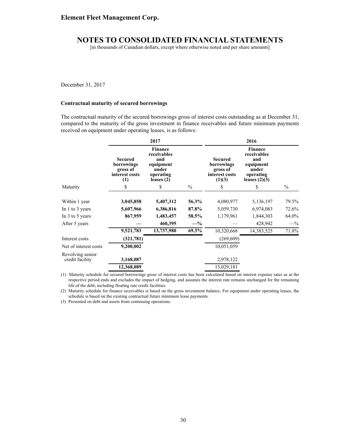[in thousands of Canadian dollars, except where otherwise noted and per share amounts]

December 31, 2017

#### **Contractual maturity of secured borrowings**

The contractual maturity of the secured borrowings gross of interest costs outstanding as at December 31, compared to the maturity of the gross investment in finance receivables and future minimum payments received on equipment under operating leases, is as follows:

|                                     |                                                                   | 2017                                                                             |               | 2016                                                                 |                                                                                     |               |  |  |
|-------------------------------------|-------------------------------------------------------------------|----------------------------------------------------------------------------------|---------------|----------------------------------------------------------------------|-------------------------------------------------------------------------------------|---------------|--|--|
|                                     | <b>Secured</b><br>borrowings<br>gross of<br>interest costs<br>(1) | Finance<br>receivables<br>and<br>equipment<br>under<br>operating<br>leases $(2)$ |               | <b>Secured</b><br>borrowings<br>gross of<br>interest costs<br>(1)(3) | Finance<br>receivables<br>and<br>equipment<br>under<br>operating<br>leases $(2)(3)$ |               |  |  |
| Maturity                            | \$                                                                | \$                                                                               | $\frac{0}{0}$ | \$                                                                   | \$                                                                                  | $\frac{0}{0}$ |  |  |
| Within 1 year                       | 3,045,858                                                         | 5,407,312                                                                        | 56.3%         | 4,080,977                                                            | 5,136,197                                                                           | 79.5%         |  |  |
| In 1 to 3 years                     | 5,607,966                                                         | 6,386,816                                                                        | 87.8%         | 5,059,730                                                            | 6,974,083                                                                           | 72.6%         |  |  |
| In $3$ to $5$ years                 | 867,959                                                           | 1,483,457                                                                        | 58.5%         | 1,179,961                                                            | 1,844,303                                                                           | 64.0%         |  |  |
| After 5 years                       |                                                                   | 460,395                                                                          | $-$ %         |                                                                      | 428,942                                                                             | $-$ %         |  |  |
|                                     | 9,521,783                                                         | 13,737,980                                                                       | 69.3%         | 10,320,668                                                           | 14,383,525                                                                          | 71.8%         |  |  |
| Interest costs                      | (321, 781)                                                        |                                                                                  |               | (269, 609)                                                           |                                                                                     |               |  |  |
| Net of interest costs               | 9,200,002                                                         |                                                                                  |               | 10,051,059                                                           |                                                                                     |               |  |  |
| Revolving senior<br>credit facility | 3,168,087                                                         |                                                                                  |               | 2,978,122                                                            |                                                                                     |               |  |  |
|                                     | 12,368,089                                                        |                                                                                  |               | 13,029,181                                                           |                                                                                     |               |  |  |

(1) Maturity schedule for secured borrowings gross of interest costs has been calculated based on interest expense rates as at the respective period ends and excludes the impact of hedging, and assumes the interest rate remains unchanged for the remaining life of the debt, including floating rate credit facilities.

(2) Maturity schedule for finance receivables is based on the gross investment balance. For equipment under operating leases, the schedule is based on the existing contractual future minimum lease payments.

(3) Presented on debt and assets from continuing operations.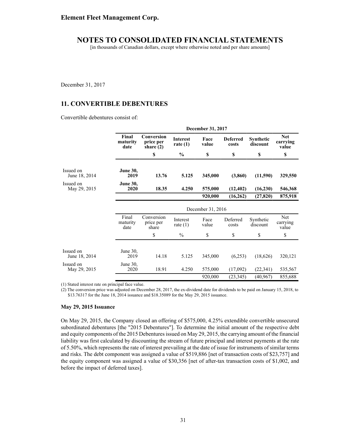[in thousands of Canadian dollars, except where otherwise noted and per share amounts]

December 31, 2017

## **11. CONVERTIBLE DEBENTURES**

Convertible debentures consist of:

|                            |                           |                                        | December 31, 2017             |                   |                          |                       |                                 |  |  |  |
|----------------------------|---------------------------|----------------------------------------|-------------------------------|-------------------|--------------------------|-----------------------|---------------------------------|--|--|--|
|                            | Final<br>maturity<br>date | Conversion<br>price per<br>share $(2)$ | <b>Interest</b><br>rate $(1)$ | Face<br>value     | <b>Deferred</b><br>costs | Synthetic<br>discount | <b>Net</b><br>carrying<br>value |  |  |  |
|                            |                           | \$                                     | $\frac{6}{9}$                 | \$                | \$                       | \$                    | \$                              |  |  |  |
| Issued on<br>June 18, 2014 | <b>June 30,</b><br>2019   | 13.76                                  | 5.125                         | 345,000           | (3,860)                  | (11,590)              | 329,550                         |  |  |  |
| Issued on<br>May 29, 2015  | <b>June 30,</b><br>2020   | 18.35                                  | 4.250                         | 575,000           | (12, 402)                | (16,230)              | 546,368                         |  |  |  |
|                            |                           |                                        |                               | 920,000           | (16,262)                 | (27, 820)             | 875,918                         |  |  |  |
|                            |                           |                                        |                               | December 31, 2016 |                          |                       |                                 |  |  |  |
|                            | Final<br>maturity<br>date | Conversion<br>price per<br>share       | Interest<br>rate $(1)$        | Face<br>value     | Deferred<br>costs        | Synthetic<br>discount | Net<br>carrying<br>value        |  |  |  |
|                            |                           | \$                                     | $\%$                          | \$                | \$                       | \$                    | \$                              |  |  |  |
|                            |                           |                                        |                               |                   |                          |                       |                                 |  |  |  |
| Issued on<br>June 18, 2014 | June $30$ .<br>2019       | 14.18                                  | 5.125                         | 345,000           | (6,253)                  | (18,626)              | 320,121                         |  |  |  |
| Issued on<br>May 29, 2015  | June 30,<br>2020          | 18.91                                  | 4.250                         | 575,000           | (17,092)                 | (22, 341)             | 535,567                         |  |  |  |
|                            |                           |                                        |                               | 920,000           | (23, 345)                | (40, 967)             | 855,688                         |  |  |  |

(1) Stated interest rate on principal face value.

(2) The conversion price was adjusted on December 28, 2017, the ex-dividend date for dividends to be paid on January 15, 2018, to \$13.76317 for the June 18, 2014 issuance and \$18.35089 for the May 29, 2015 issuance.

#### **May 29, 2015 Issuance**

On May 29, 2015, the Company closed an offering of \$575,000, 4.25% extendible convertible unsecured subordinated debentures [the "2015 Debentures"]. To determine the initial amount of the respective debt and equity components of the 2015 Debentures issued on May 29, 2015, the carrying amount of the financial liability was first calculated by discounting the stream of future principal and interest payments at the rate of 5.50%, which represents the rate of interest prevailing at the date of issue for instruments of similar terms and risks. The debt component was assigned a value of \$519,886 [net of transaction costs of \$23,757] and the equity component was assigned a value of \$30,356 [net of after-tax transaction costs of \$1,002, and before the impact of deferred taxes].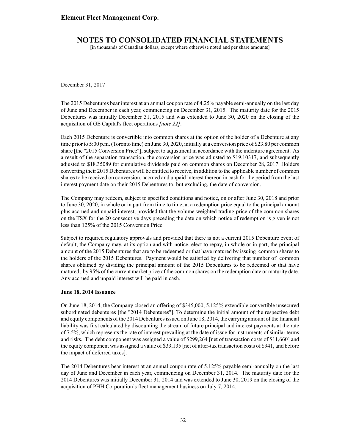[in thousands of Canadian dollars, except where otherwise noted and per share amounts]

December 31, 2017

The 2015 Debentures bear interest at an annual coupon rate of 4.25% payable semi-annually on the last day of June and December in each year, commencing on December 31, 2015. The maturity date for the 2015 Debentures was initially December 31, 2015 and was extended to June 30, 2020 on the closing of the acquisition of GE Capital's fleet operations *[note 22]*.

Each 2015 Debenture is convertible into common shares at the option of the holder of a Debenture at any time prior to 5:00 p.m. (Toronto time) on June 30, 2020, initially at a conversion price of \$23.80 per common share [the "2015 Conversion Price"], subject to adjustment in accordance with the indenture agreement. As a result of the separation transaction, the conversion price was adjusted to \$19.10317, and subsequently adjusted to \$18.35089 for cumulative dividends paid on common shares on December 28, 2017. Holders converting their 2015 Debentures will be entitled to receive, in addition to the applicable number of common shares to be received on conversion, accrued and unpaid interest thereon in cash for the period from the last interest payment date on their 2015 Debentures to, but excluding, the date of conversion.

The Company may redeem, subject to specified conditions and notice, on or after June 30, 2018 and prior to June 30, 2020, in whole or in part from time to time, at a redemption price equal to the principal amount plus accrued and unpaid interest, provided that the volume weighted trading price of the common shares on the TSX for the 20 consecutive days preceding the date on which notice of redemption is given is not less than 125% of the 2015 Conversion Price.

Subject to required regulatory approvals and provided that there is not a current 2015 Debenture event of default, the Company may, at its option and with notice, elect to repay, in whole or in part, the principal amount of the 2015 Debentures that are to be redeemed or that have matured by issuing common shares to the holders of the 2015 Debentures. Payment would be satisfied by delivering that number of common shares obtained by dividing the principal amount of the 2015 Debentures to be redeemed or that have matured, by 95% of the current market price of the common shares on the redemption date or maturity date. Any accrued and unpaid interest will be paid in cash.

#### **June 18, 2014 Issuance**

On June 18, 2014, the Company closed an offering of \$345,000, 5.125% extendible convertible unsecured subordinated debentures [the "2014 Debentures"]. To determine the initial amount of the respective debt and equity components of the 2014 Debentures issued on June 18, 2014, the carrying amount of the financial liability was first calculated by discounting the stream of future principal and interest payments at the rate of 7.5%, which represents the rate of interest prevailing at the date of issue for instruments of similar terms and risks. The debt component was assigned a value of \$299,264 [net of transaction costs of \$11,660] and the equity component was assigned a value of \$33,135 [net of after-tax transaction costs of \$941, and before the impact of deferred taxes].

The 2014 Debentures bear interest at an annual coupon rate of 5.125% payable semi-annually on the last day of June and December in each year, commencing on December 31, 2014. The maturity date for the 2014 Debentures was initially December 31, 2014 and was extended to June 30, 2019 on the closing of the acquisition of PHH Corporation's fleet management business on July 7, 2014.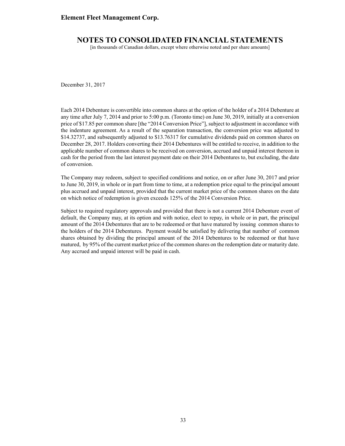### **Element Fleet Management Corp.**

## **NOTES TO CONSOLIDATED FINANCIAL STATEMENTS**

[in thousands of Canadian dollars, except where otherwise noted and per share amounts]

December 31, 2017

Each 2014 Debenture is convertible into common shares at the option of the holder of a 2014 Debenture at any time after July 7, 2014 and prior to 5:00 p.m. (Toronto time) on June 30, 2019, initially at a conversion price of \$17.85 per common share [the "2014 Conversion Price"], subject to adjustment in accordance with the indenture agreement. As a result of the separation transaction, the conversion price was adjusted to \$14.32737, and subsequently adjusted to \$13.76317 for cumulative dividends paid on common shares on December 28, 2017. Holders converting their 2014 Debentures will be entitled to receive, in addition to the applicable number of common shares to be received on conversion, accrued and unpaid interest thereon in cash for the period from the last interest payment date on their 2014 Debentures to, but excluding, the date of conversion.

The Company may redeem, subject to specified conditions and notice, on or after June 30, 2017 and prior to June 30, 2019, in whole or in part from time to time, at a redemption price equal to the principal amount plus accrued and unpaid interest, provided that the current market price of the common shares on the date on which notice of redemption is given exceeds 125% of the 2014 Conversion Price.

Subject to required regulatory approvals and provided that there is not a current 2014 Debenture event of default, the Company may, at its option and with notice, elect to repay, in whole or in part, the principal amount of the 2014 Debentures that are to be redeemed or that have matured by issuing common shares to the holders of the 2014 Debentures. Payment would be satisfied by delivering that number of common shares obtained by dividing the principal amount of the 2014 Debentures to be redeemed or that have matured, by 95% of the current market price of the common shares on the redemption date or maturity date. Any accrued and unpaid interest will be paid in cash.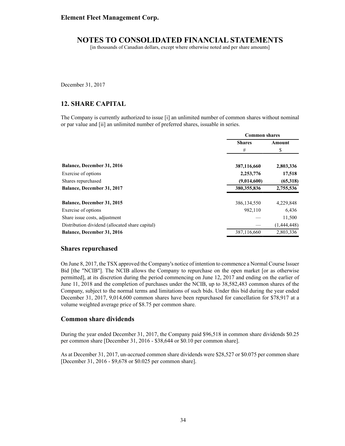[in thousands of Canadian dollars, except where otherwise noted and per share amounts]

December 31, 2017

## **12. SHARE CAPITAL**

The Company is currently authorized to issue [i] an unlimited number of common shares without nominal or par value and [ii] an unlimited number of preferred shares, issuable in series.

|                                                 | <b>Common shares</b> |             |
|-------------------------------------------------|----------------------|-------------|
|                                                 | <b>Shares</b>        | Amount      |
|                                                 | #                    | \$          |
| <b>Balance, December 31, 2016</b>               | 387,116,660          | 2,803,336   |
| Exercise of options                             | 2,253,776            | 17,518      |
| Shares repurchased                              | (9,014,600)          | (65,318)    |
| <b>Balance, December 31, 2017</b>               | 380,355,836          | 2,755,536   |
| Balance, December 31, 2015                      | 386, 134, 550        | 4,229,848   |
| Exercise of options                             | 982,110              | 6,436       |
| Share issue costs, adjustment                   |                      | 11,500      |
| Distribution dividend (allocated share capital) |                      | (1,444,448) |
| <b>Balance, December 31, 2016</b>               | 387,116,660          | 2,803,336   |

#### **Shares repurchased**

On June 8, 2017, the TSX approved the Company's notice of intention to commence a Normal Course Issuer Bid [the "NCIB"]. The NCIB allows the Company to repurchase on the open market [or as otherwise permitted], at its discretion during the period commencing on June 12, 2017 and ending on the earlier of June 11, 2018 and the completion of purchases under the NCIB, up to 38,582,483 common shares of the Company, subject to the normal terms and limitations of such bids. Under this bid during the year ended December 31, 2017, 9,014,600 common shares have been repurchased for cancellation for \$78,917 at a volume weighted average price of \$8.75 per common share.

### **Common share dividends**

During the year ended December 31, 2017, the Company paid \$96,518 in common share dividends \$0.25 per common share [December 31, 2016 - \$38,644 or \$0.10 per common share].

As at December 31, 2017, un-accrued common share dividends were \$28,527 or \$0.075 per common share [December 31, 2016 - \$9,678 or \$0.025 per common share].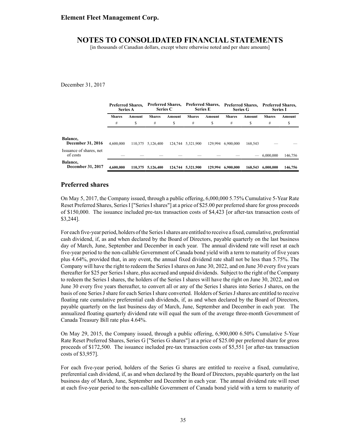[in thousands of Canadian dollars, except where otherwise noted and per share amounts]

December 31, 2017

|                                      | <b>Preferred Shares.</b><br><b>Series A</b> |        | <b>Preferred Shares.</b><br><b>Series C</b> |         | <b>Preferred Shares.</b><br><b>Series E</b> |         | <b>Preferred Shares.</b><br><b>Series G</b> |         | <b>Preferred Shares.</b><br><b>Series I</b> |         |
|--------------------------------------|---------------------------------------------|--------|---------------------------------------------|---------|---------------------------------------------|---------|---------------------------------------------|---------|---------------------------------------------|---------|
|                                      | <b>Shares</b>                               | Amount | <b>Shares</b>                               | Amount  | <b>Shares</b>                               | Amount  | <b>Shares</b>                               | Amount  | <b>Shares</b>                               | Amount  |
|                                      | #                                           | S      | #                                           | S       | #                                           | S       | #                                           | S       | #                                           | \$      |
|                                      |                                             |        |                                             |         |                                             |         |                                             |         |                                             |         |
| Balance,<br><b>December 31, 2016</b> | 4.600.000                                   |        | 110,375 5,126,400                           | 124,744 | 5,321,900                                   | 129.994 | 6.900.000                                   | 168.543 |                                             |         |
| Issuance of shares, net<br>of costs  |                                             |        |                                             |         |                                             |         |                                             |         | 6.000.000                                   | 146,756 |
| Balance,<br><b>December 31, 2017</b> | 4,600,000                                   |        | 110.375 5.126.400                           |         | 124,744 5.321,900                           | 129,994 | 6.900.000                                   | 168,543 | 6.000.000                                   | 146,756 |

## **Preferred shares**

On May 5, 2017, the Company issued, through a public offering, 6,000,000 5.75% Cumulative 5-Year Rate Reset Preferred Shares, Series I ["Series I shares"] at a price of \$25.00 per preferred share for gross proceeds of \$150,000. The issuance included pre-tax transaction costs of \$4,423 [or after-tax transaction costs of \$3,244].

For each five-year period, holders of the Series I shares are entitled to receive a fixed, cumulative, preferential cash dividend, if, as and when declared by the Board of Directors, payable quarterly on the last business day of March, June, September and December in each year. The annual dividend rate will reset at each five-year period to the non-callable Government of Canada bond yield with a term to maturity of five years plus 4.64%, provided that, in any event, the annual fixed dividend rate shall not be less than 5.75%. The Company will have the right to redeem the Series I shares on June 30, 2022, and on June 30 every five years thereafter for \$25 per Series I share, plus accrued and unpaid dividends. Subject to the right of the Company to redeem the Series I shares, the holders of the Series I shares will have the right on June 30, 2022, and on June 30 every five years thereafter, to convert all or any of the Series I shares into Series J shares, on the basis of one Series J share for each Series I share converted. Holders of Series J shares are entitled to receive floating rate cumulative preferential cash dividends, if, as and when declared by the Board of Directors, payable quarterly on the last business day of March, June, September and December in each year. The annualized floating quarterly dividend rate will equal the sum of the average three-month Government of Canada Treasury Bill rate plus 4.64%.

On May 29, 2015, the Company issued, through a public offering, 6,900,000 6.50% Cumulative 5-Year Rate Reset Preferred Shares, Series G ["Series G shares"] at a price of \$25.00 per preferred share for gross proceeds of \$172,500. The issuance included pre-tax transaction costs of \$5,551 [or after-tax transaction costs of \$3,957].

For each five-year period, holders of the Series G shares are entitled to receive a fixed, cumulative, preferential cash dividend, if, as and when declared by the Board of Directors, payable quarterly on the last business day of March, June, September and December in each year. The annual dividend rate will reset at each five-year period to the non-callable Government of Canada bond yield with a term to maturity of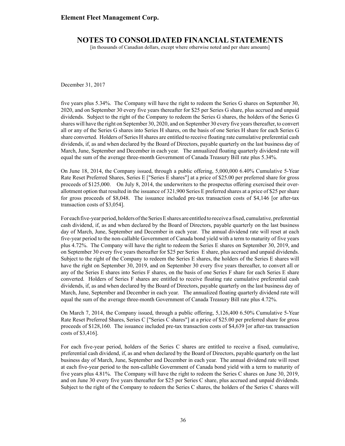[in thousands of Canadian dollars, except where otherwise noted and per share amounts]

December 31, 2017

five years plus 5.34%. The Company will have the right to redeem the Series G shares on September 30, 2020, and on September 30 every five years thereafter for \$25 per Series G share, plus accrued and unpaid dividends. Subject to the right of the Company to redeem the Series G shares, the holders of the Series G shares will have the right on September 30, 2020, and on September 30 every five years thereafter, to convert all or any of the Series G shares into Series H shares, on the basis of one Series H share for each Series G share converted. Holders of Series H shares are entitled to receive floating rate cumulative preferential cash dividends, if, as and when declared by the Board of Directors, payable quarterly on the last business day of March, June, September and December in each year. The annualized floating quarterly dividend rate will equal the sum of the average three-month Government of Canada Treasury Bill rate plus 5.34%.

On June 18, 2014, the Company issued, through a public offering, 5,000,000 6.40% Cumulative 5-Year Rate Reset Preferred Shares, Series E ["Series E shares"] at a price of \$25.00 per preferred share for gross proceeds of \$125,000. On July 8, 2014, the underwriters to the prospectus offering exercised their overallotment option that resulted in the issuance of 321,900 Series E preferred shares at a price of \$25 per share for gross proceeds of \$8,048. The issuance included pre-tax transaction costs of \$4,146 [or after-tax transaction costs of \$3,054].

For each five-year period, holders of the Series E shares are entitled to receive a fixed, cumulative, preferential cash dividend, if, as and when declared by the Board of Directors, payable quarterly on the last business day of March, June, September and December in each year. The annual dividend rate will reset at each five-year period to the non-callable Government of Canada bond yield with a term to maturity of five years plus 4.72%. The Company will have the right to redeem the Series E shares on September 30, 2019, and on September 30 every five years thereafter for \$25 per Series E share, plus accrued and unpaid dividends. Subject to the right of the Company to redeem the Series E shares, the holders of the Series E shares will have the right on September 30, 2019, and on September 30 every five years thereafter, to convert all or any of the Series E shares into Series F shares, on the basis of one Series F share for each Series E share converted. Holders of Series F shares are entitled to receive floating rate cumulative preferential cash dividends, if, as and when declared by the Board of Directors, payable quarterly on the last business day of March, June, September and December in each year. The annualized floating quarterly dividend rate will equal the sum of the average three-month Government of Canada Treasury Bill rate plus 4.72%.

On March 7, 2014, the Company issued, through a public offering, 5,126,400 6.50% Cumulative 5-Year Rate Reset Preferred Shares, Series C ["Series C shares"] at a price of \$25.00 per preferred share for gross proceeds of \$128,160. The issuance included pre-tax transaction costs of \$4,639 [or after-tax transaction costs of \$3,416].

For each five-year period, holders of the Series C shares are entitled to receive a fixed, cumulative, preferential cash dividend, if, as and when declared by the Board of Directors, payable quarterly on the last business day of March, June, September and December in each year. The annual dividend rate will reset at each five-year period to the non-callable Government of Canada bond yield with a term to maturity of five years plus 4.81%. The Company will have the right to redeem the Series C shares on June 30, 2019, and on June 30 every five years thereafter for \$25 per Series C share, plus accrued and unpaid dividends. Subject to the right of the Company to redeem the Series C shares, the holders of the Series C shares will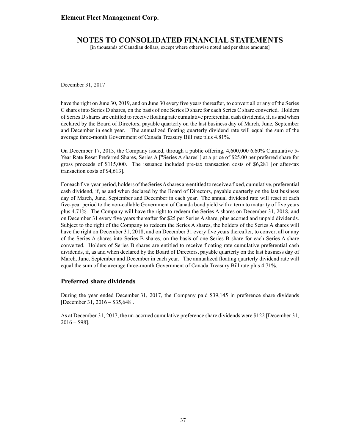[in thousands of Canadian dollars, except where otherwise noted and per share amounts]

December 31, 2017

have the right on June 30, 2019, and on June 30 every five years thereafter, to convert all or any of the Series C shares into Series D shares, on the basis of one Series D share for each Series C share converted. Holders of Series D shares are entitled to receive floating rate cumulative preferential cash dividends, if, as and when declared by the Board of Directors, payable quarterly on the last business day of March, June, September and December in each year. The annualized floating quarterly dividend rate will equal the sum of the average three-month Government of Canada Treasury Bill rate plus 4.81%.

On December 17, 2013, the Company issued, through a public offering, 4,600,000 6.60% Cumulative 5- Year Rate Reset Preferred Shares, Series A ["Series A shares"] at a price of \$25.00 per preferred share for gross proceeds of \$115,000. The issuance included pre-tax transaction costs of \$6,281 [or after-tax transaction costs of \$4,613].

For each five-year period, holders of the Series Ashares are entitled to receive a fixed, cumulative, preferential cash dividend, if, as and when declared by the Board of Directors, payable quarterly on the last business day of March, June, September and December in each year. The annual dividend rate will reset at each five-year period to the non-callable Government of Canada bond yield with a term to maturity of five years plus 4.71%. The Company will have the right to redeem the Series A shares on December 31, 2018, and on December 31 every five years thereafter for \$25 per Series A share, plus accrued and unpaid dividends. Subject to the right of the Company to redeem the Series A shares, the holders of the Series A shares will have the right on December 31, 2018, and on December 31 every five years thereafter, to convert all or any of the Series A shares into Series B shares, on the basis of one Series B share for each Series A share converted. Holders of Series B shares are entitled to receive floating rate cumulative preferential cash dividends, if, as and when declared by the Board of Directors, payable quarterly on the last business day of March, June, September and December in each year. The annualized floating quarterly dividend rate will equal the sum of the average three-month Government of Canada Treasury Bill rate plus 4.71%.

### **Preferred share dividends**

During the year ended December 31, 2017, the Company paid \$39,145 in preference share dividends [December 31, 2016 – \$35,648].

As at December 31, 2017, the un-accrued cumulative preference share dividends were \$122 [December 31,  $2016 - $98$ ].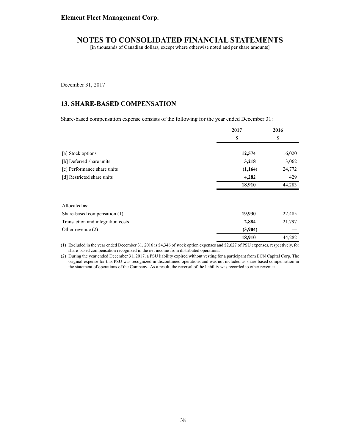[in thousands of Canadian dollars, except where otherwise noted and per share amounts]

December 31, 2017

## **13. SHARE-BASED COMPENSATION**

Share-based compensation expense consists of the following for the year ended December 31:

|                                   | 2017    | 2016   |  |
|-----------------------------------|---------|--------|--|
|                                   | \$      | \$     |  |
| [a] Stock options                 | 12,574  | 16,020 |  |
| [b] Deferred share units          | 3,218   | 3,062  |  |
| [c] Performance share units       | (1,164) | 24,772 |  |
| [d] Restricted share units        | 4,282   | 429    |  |
|                                   | 18,910  | 44,283 |  |
| Allocated as:                     |         |        |  |
| Share-based compensation (1)      | 19,930  | 22,485 |  |
| Transaction and integration costs | 2,884   | 21,797 |  |
| Other revenue $(2)$               | (3,904) |        |  |
|                                   | 18,910  | 44,282 |  |
|                                   |         |        |  |

(1) Excluded in the year ended December 31, 2016 is \$4,346 of stock option expenses and \$2,627 of PSU expenses, respectively, for share-based compensation recognized in the net income from distributed operations.

(2) During the year ended December 31, 2017, a PSU liability expired without vesting for a participant from ECN Capital Corp. The original expense for this PSU was recognized in discontinued operations and was not included as share-based compensation in the statement of operations of the Company. As a result, the reversal of the liability was recorded to other revenue.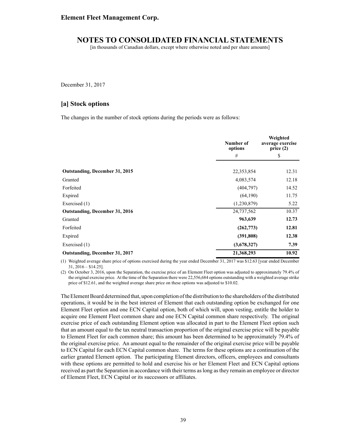[in thousands of Canadian dollars, except where otherwise noted and per share amounts]

December 31, 2017

## **[a] Stock options**

The changes in the number of stock options during the periods were as follows:

|                                | Number of<br>options | Weighted<br>average exercise<br>price(2) |
|--------------------------------|----------------------|------------------------------------------|
|                                | #                    | \$                                       |
| Outstanding, December 31, 2015 | 22,353,854           | 12.31                                    |
| Granted                        | 4,083,574            | 12.18                                    |
| Forfeited                      | (404, 797)           | 14.52                                    |
| Expired                        | (64,190)             | 11.75                                    |
| Exercised (1)                  | (1,230,879)          | 5.22                                     |
| Outstanding, December 31, 2016 | 24,737,562           | 10.37                                    |
| Granted                        | 963,639              | 12.73                                    |
| Forfeited                      | (262, 773)           | 12.81                                    |
| Expired                        | (391,808)            | 12.38                                    |
| Exercised (1)                  | (3,678,327)          | 7.39                                     |
| Outstanding, December 31, 2017 | 21,368,293           | 10.92                                    |

(1) Weighted average share price of options exercised during the year ended December 31, 2017 was \$12.63 [year ended December  $31, 2016 - $14.25$ ].

(2) On October 3, 2016, upon the Separation, the exercise price of an Element Fleet option was adjusted to approximately 79.4% of the original exercise price. At the time of the Separation there were 22,556,684 options outstanding with a weighted average strike price of \$12.61, and the weighted average share price on these options was adjusted to \$10.02.

The Element Board determined that, upon completion of the distribution to the shareholders of the distributed operations, it would be in the best interest of Element that each outstanding option be exchanged for one Element Fleet option and one ECN Capital option, both of which will, upon vesting, entitle the holder to acquire one Element Fleet common share and one ECN Capital common share respectively. The original exercise price of each outstanding Element option was allocated in part to the Element Fleet option such that an amount equal to the tax neutral transaction proportion of the original exercise price will be payable to Element Fleet for each common share; this amount has been determined to be approximately 79.4% of the original exercise price. An amount equal to the remainder of the original exercise price will be payable to ECN Capital for each ECN Capital common share. The terms for these options are a continuation of the earlier granted Element option. The participating Element directors, officers, employees and consultants with these options are permitted to hold and exercise his or her Element Fleet and ECN Capital options received as part the Separation in accordance with their terms as long as they remain an employee or director of Element Fleet, ECN Capital or its successors or affiliates.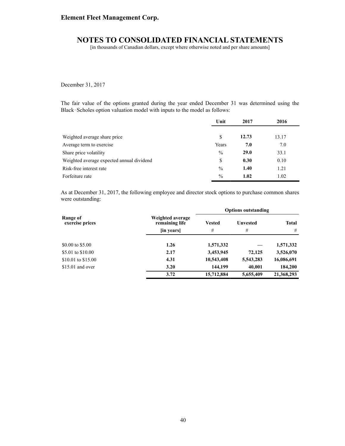[in thousands of Canadian dollars, except where otherwise noted and per share amounts]

December 31, 2017

The fair value of the options granted during the year ended December 31 was determined using the Black-Scholes option valuation model with inputs to the model as follows:

|                                           | Unit          | 2017  | 2016  |
|-------------------------------------------|---------------|-------|-------|
|                                           |               |       |       |
| Weighted average share price              | \$            | 12.73 | 13.17 |
| Average term to exercise                  | Years         | 7.0   | 7.0   |
| Share price volatility                    | $\frac{0}{0}$ | 29.0  | 33.1  |
| Weighted average expected annual dividend | \$            | 0.30  | 0.10  |
| Risk-free interest rate                   | $\frac{0}{0}$ | 1.40  | 1.21  |
| Forfeiture rate                           | $\frac{0}{0}$ | 1.02  | 1.02  |

As at December 31, 2017, the following employee and director stock options to purchase common shares were outstanding:

|                             |                                    | <b>Options outstanding</b> |                 |              |  |
|-----------------------------|------------------------------------|----------------------------|-----------------|--------------|--|
| Range of<br>exercise prices | Weighted average<br>remaining life | Vested                     | <b>Unvested</b> | <b>Total</b> |  |
|                             | [in years]                         | #                          | #               | #            |  |
| \$0.00 to \$5.00            | 1.26                               | 1,571,332                  |                 | 1,571,332    |  |
| \$5.01 to \$10.00           | 2.17                               | 3,453,945                  | 72,125          | 3,526,070    |  |
| \$10.01 to \$15.00          | 4.31                               | 10,543,408                 | 5,543,283       | 16,086,691   |  |
| $$15.01$ and over           | 3.20                               | 144,199                    | 40,001          | 184,200      |  |
|                             | 3.72                               | 15,712,884                 | 5,655,409       | 21,368,293   |  |
|                             |                                    |                            |                 |              |  |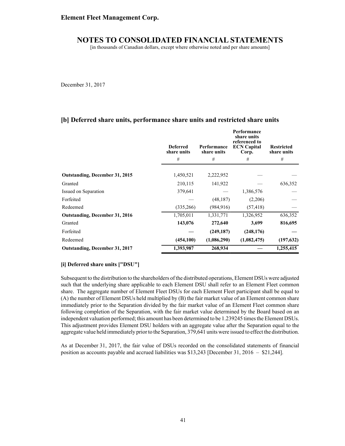[in thousands of Canadian dollars, except where otherwise noted and per share amounts]

December 31, 2017

### **[b] Deferred share units, performance share units and restricted share units**

|                                       | <b>Deferred</b><br>share units<br># | Performance<br>share units<br># | Performance<br>share units<br>referenced to<br><b>ECN Capital</b><br>Corp.<br># | <b>Restricted</b><br>share units<br># |
|---------------------------------------|-------------------------------------|---------------------------------|---------------------------------------------------------------------------------|---------------------------------------|
|                                       |                                     |                                 |                                                                                 |                                       |
| <b>Outstanding, December 31, 2015</b> | 1,450,521                           | 2,222,952                       |                                                                                 |                                       |
| Granted                               | 210,115                             | 141,922                         |                                                                                 | 636,352                               |
| Issued on Separation                  | 379,641                             |                                 | 1,386,576                                                                       |                                       |
| Forfeited                             |                                     | (48, 187)                       | (2,206)                                                                         |                                       |
| Redeemed                              | (335, 266)                          | (984, 916)                      | (57, 418)                                                                       |                                       |
| <b>Outstanding, December 31, 2016</b> | 1,705,011                           | 1,331,771                       | 1,326,952                                                                       | 636,352                               |
| Granted                               | 143,076                             | 272,640                         | 3,699                                                                           | 816,695                               |
| Forfeited                             |                                     | (249, 187)                      | (248, 176)                                                                      |                                       |
| Redeemed                              | (454, 100)                          | (1,086,290)                     | (1,082,475)                                                                     | (197, 632)                            |
| <b>Outstanding, December 31, 2017</b> | 1,393,987                           | 268,934                         |                                                                                 | 1,255,415                             |

#### **[i] Deferred share units ["DSU"]**

Subsequent to the distribution to the shareholders of the distributed operations, Element DSUs were adjusted such that the underlying share applicable to each Element DSU shall refer to an Element Fleet common share. The aggregate number of Element Fleet DSUs for each Element Fleet participant shall be equal to (A) the number of Element DSUs held multiplied by (B) the fair market value of an Element common share immediately prior to the Separation divided by the fair market value of an Element Fleet common share following completion of the Separation, with the fair market value determined by the Board based on an independent valuation performed; this amount has been determined to be 1.239245 times the Element DSUs. This adjustment provides Element DSU holders with an aggregate value after the Separation equal to the aggregate value held immediately prior to the Separation, 379,641 units were issued to effect the distribution.

As at December 31, 2017, the fair value of DSUs recorded on the consolidated statements of financial position as accounts payable and accrued liabilities was \$13,243 [December 31, 2016 – \$21,244].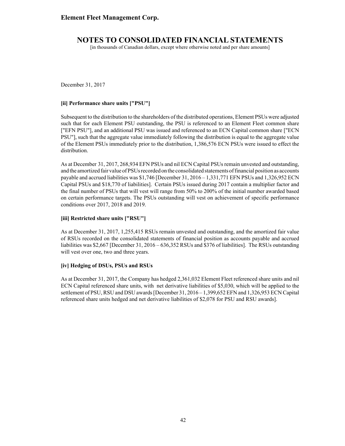[in thousands of Canadian dollars, except where otherwise noted and per share amounts]

December 31, 2017

#### **[ii] Performance share units ["PSU"]**

Subsequent to the distribution to the shareholders of the distributed operations, Element PSUs were adjusted such that for each Element PSU outstanding, the PSU is referenced to an Element Fleet common share ["EFN PSU"], and an additional PSU was issued and referenced to an ECN Capital common share ["ECN PSU"], such that the aggregate value immediately following the distribution is equal to the aggregate value of the Element PSUs immediately prior to the distribution, 1,386,576 ECN PSUs were issued to effect the distribution.

As at December 31, 2017, 268,934 EFN PSUs and nil ECN Capital PSUs remain unvested and outstanding, and the amortized fair value of PSUs recorded on the consolidated statements of financial position as accounts payable and accrued liabilities was \$1,746 [December 31, 2016 – 1,331,771 EFN PSUs and 1,326,952 ECN Capital PSUs and \$18,770 of liabilities]. Certain PSUs issued during 2017 contain a multiplier factor and the final number of PSUs that will vest will range from 50% to 200% of the initial number awarded based on certain performance targets. The PSUs outstanding will vest on achievement of specific performance conditions over 2017, 2018 and 2019.

### **[iii] Restricted share units ["RSU"]**

As at December 31, 2017, 1,255,415 RSUs remain unvested and outstanding, and the amortized fair value of RSUs recorded on the consolidated statements of financial position as accounts payable and accrued liabilities was \$2,667 [December 31, 2016 – 636,352 RSUs and \$376 of liabilities]. The RSUs outstanding will vest over one, two and three years.

#### **[iv] Hedging of DSUs, PSUs and RSUs**

As at December 31, 2017, the Company has hedged 2,361,032 Element Fleet referenced share units and nil ECN Capital referenced share units, with net derivative liabilities of \$5,030, which will be applied to the settlement of PSU, RSU and DSU awards [December 31, 2016 – 1,399,652 EFN and 1,326,953 ECN Capital referenced share units hedged and net derivative liabilities of \$2,078 for PSU and RSU awards].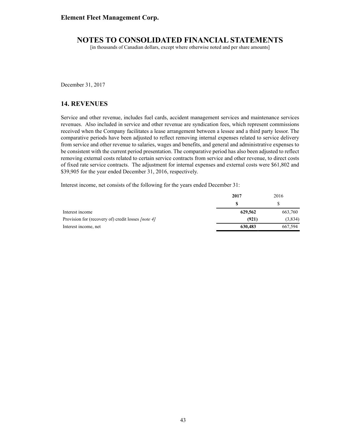[in thousands of Canadian dollars, except where otherwise noted and per share amounts]

December 31, 2017

## **14. REVENUES**

Service and other revenue, includes fuel cards, accident management services and maintenance services revenues. Also included in service and other revenue are syndication fees, which represent commissions received when the Company facilitates a lease arrangement between a lessee and a third party lessor. The comparative periods have been adjusted to reflect removing internal expenses related to service delivery from service and other revenue to salaries, wages and benefits, and general and administrative expenses to be consistent with the current period presentation. The comparative period has also been adjusted to reflect removing external costs related to certain service contracts from service and other revenue, to direct costs of fixed rate service contracts. The adjustment for internal expenses and external costs were \$61,802 and \$39,905 for the year ended December 31, 2016, respectively.

Interest income, net consists of the following for the years ended December 31:

|                                                    | 2017    | 2016    |
|----------------------------------------------------|---------|---------|
|                                                    | S       |         |
| Interest income                                    | 629,562 | 663,760 |
| Provision for (recovery of) credit losses [note 4] | (921)   | (3,834) |
| Interest income, net                               | 630,483 | 667,594 |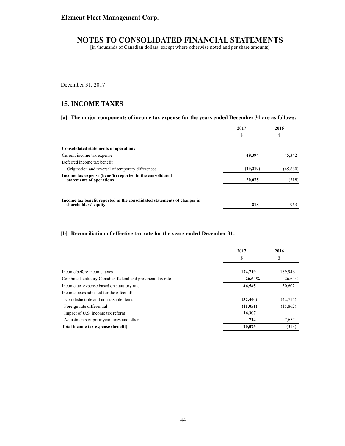[in thousands of Canadian dollars, except where otherwise noted and per share amounts]

December 31, 2017

# **15. INCOME TAXES**

**[a] The major components of income tax expense for the years ended December 31 are as follows:**

|                                                                                                  | 2017     | 2016     |
|--------------------------------------------------------------------------------------------------|----------|----------|
|                                                                                                  | \$       | \$       |
| <b>Consolidated statements of operations</b>                                                     |          |          |
| Current income tax expense                                                                       | 49.394   | 45,342   |
| Deferred income tax benefit                                                                      |          |          |
| Origination and reversal of temporary differences                                                | (29,319) | (45,660) |
| Income tax expense (benefit) reported in the consolidated<br>statements of operations            | 20,075   | (318)    |
|                                                                                                  |          |          |
| Income tax benefit reported in the consolidated statements of changes in<br>shareholders' equity | 818      | 963      |

### **[b] Reconciliation of effective tax rate for the years ended December 31:**

|                                                             | 2017      | 2016<br>\$ |  |
|-------------------------------------------------------------|-----------|------------|--|
|                                                             | \$        |            |  |
| Income before income taxes                                  | 174,719   | 189,946    |  |
| Combined statutory Canadian federal and provincial tax rate | 26.64%    | 26.64%     |  |
| Income tax expense based on statutory rate                  | 46,545    | 50,602     |  |
| Income taxes adjusted for the effect of:                    |           |            |  |
| Non-deductible and non-taxable items                        | (32, 440) | (42,715)   |  |
| Foreign rate differential                                   | (11,051)  | (15,862)   |  |
| Impact of U.S. income tax reform                            | 16,307    |            |  |
| Adjustments of prior year taxes and other                   | 714       | 7,657      |  |
| Total income tax expense (benefit)                          | 20,075    | (318)      |  |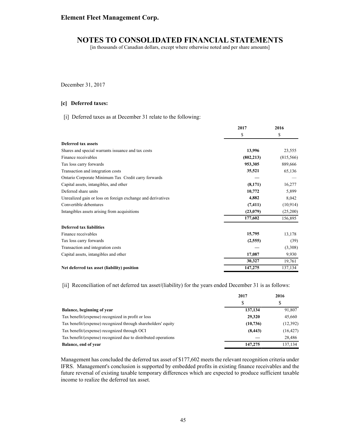[in thousands of Canadian dollars, except where otherwise noted and per share amounts]

December 31, 2017

#### **[c] Deferred taxes:**

[i] Deferred taxes as at December 31 relate to the following:

|                                                             | 2017       | 2016      |  |
|-------------------------------------------------------------|------------|-----------|--|
|                                                             | \$         | \$        |  |
| Deferred tax assets                                         |            |           |  |
| Shares and special warrants issuance and tax costs          | 13,996     | 23,555    |  |
| Finance receivables                                         | (802, 213) | (815,566) |  |
| Tax loss carry forwards                                     | 953,305    | 889,666   |  |
| Transaction and integration costs                           | 35,521     | 65,136    |  |
| Ontario Corporate Minimum Tax Credit carry forwards         |            |           |  |
| Capital assets, intangibles, and other                      | (8,171)    | 16,277    |  |
| Deferred share units                                        | 10,772     | 5,899     |  |
| Unrealized gain or loss on foreign exchange and derivatives | 4,882      | 8,042     |  |
| Convertible debentures                                      | (7, 411)   | (10,914)  |  |
| Intangibles assets arising from acquisitions                | (23,079)   | (25,200)  |  |
|                                                             | 177,602    | 156,895   |  |
| <b>Deferred tax liabilities</b>                             |            |           |  |
| Finance receivables                                         | 15,795     | 13,178    |  |
| Tax loss carry forwards                                     | (2,555)    | (39)      |  |
| Transaction and integration costs                           |            | (3,308)   |  |
| Capital assets, intangibles and other                       | 17,087     | 9,930     |  |
|                                                             | 30,327     | 19,761    |  |
| Net deferred tax asset (liability) position                 | 147,275    | 137,134   |  |

[ii] Reconciliation of net deferred tax asset/(liability) for the years ended December 31 is as follows:

|                                                                | 2017      | 2016      |
|----------------------------------------------------------------|-----------|-----------|
|                                                                |           | S         |
| Balance, beginning of year                                     | 137,134   | 91,807    |
| Tax benefit/(expense) recognized in profit or loss             | 29,320    | 45,660    |
| Tax benefit/(expense) recognized through shareholders' equity  | (10, 736) | (12, 392) |
| Tax benefit/(expense) recognized through OCI                   | (8, 443)  | (16, 427) |
| Tax benefit/(expense) recognized due to distributed operations |           | 28,486    |
| Balance, end of year                                           | 147,275   | 137.134   |

Management has concluded the deferred tax asset of \$177,602 meets the relevant recognition criteria under IFRS. Management's conclusion is supported by embedded profits in existing finance receivables and the future reversal of existing taxable temporary differences which are expected to produce sufficient taxable income to realize the deferred tax asset.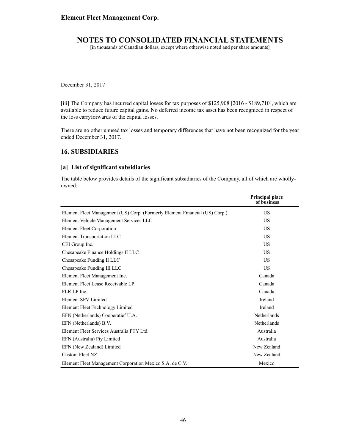[in thousands of Canadian dollars, except where otherwise noted and per share amounts]

December 31, 2017

[iii] The Company has incurred capital losses for tax purposes of \$125,908 [2016 - \$189,710], which are available to reduce future capital gains. No deferred income tax asset has been recognized in respect of the loss carryforwards of the capital losses.

There are no other unused tax losses and temporary differences that have not been recognized for the year ended December 31, 2017.

## **16. SUBSIDIARIES**

### **[a] List of significant subsidiaries**

The table below provides details of the significant subsidiaries of the Company, all of which are whollyowned:

|                                                                             | <b>Principal place</b><br>of business |
|-----------------------------------------------------------------------------|---------------------------------------|
| Element Fleet Management (US) Corp. (Formerly Element Financial (US) Corp.) | US                                    |
| Element Vehicle Management Services LLC                                     | US                                    |
| <b>Element Fleet Corporation</b>                                            | US                                    |
| Element Transportation LLC                                                  | US                                    |
| CEI Group Inc.                                                              | US.                                   |
| Chesapeake Finance Holdings II LLC                                          | US                                    |
| Chesapeake Funding II LLC                                                   | <b>US</b>                             |
| Chesapeake Funding III LLC                                                  | <b>US</b>                             |
| Element Fleet Management Inc.                                               | Canada                                |
| Element Fleet Lease Receivable LP                                           | Canada                                |
| FLR LP Inc.                                                                 | Canada                                |
| Element SPV Limited                                                         | Ireland                               |
| Element Fleet Technology Limited                                            | Ireland                               |
| EFN (Netherlands) Cooperatief U.A.                                          | Netherlands                           |
| EFN (Netherlands) B.V.                                                      | Netherlands                           |
| Element Fleet Services Australia PTY Ltd.                                   | Australia                             |
| EFN (Australia) Pty Limited                                                 | Australia                             |
| EFN (New Zealand) Limited                                                   | New Zealand                           |
| Custom Fleet NZ                                                             | New Zealand                           |
| Element Fleet Management Corporation Mexico S.A. de C.V.                    | Mexico                                |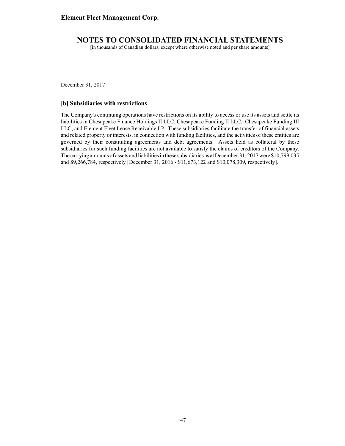[in thousands of Canadian dollars, except where otherwise noted and per share amounts]

December 31, 2017

#### **[b] Subsidiaries with restrictions**

The Company's continuing operations have restrictions on its ability to access or use its assets and settle its liabilities in Chesapeake Finance Holdings II LLC, Chesapeake Funding II LLC, Chesapeake Funding III LLC, and Element Fleet Lease Receivable LP. These subsidiaries facilitate the transfer of financial assets and related property or interests, in connection with funding facilities, and the activities of these entities are governed by their constituting agreements and debt agreements. Assets held as collateral by these subsidiaries for such funding facilities are not available to satisfy the claims of creditors of the Company. The carrying amounts of assets and liabilities in these subsidiaries as at December 31, 2017 were \$10,799,035 and \$9,266,784, respectively [December 31, 2016 - \$11,673,122 and \$10,078,309, respectively].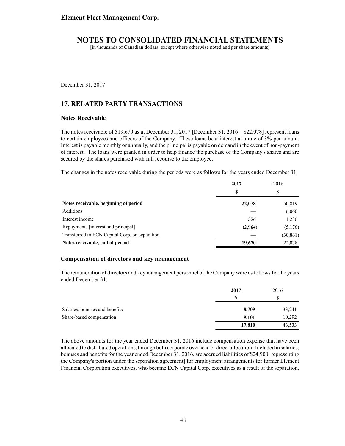[in thousands of Canadian dollars, except where otherwise noted and per share amounts]

December 31, 2017

# **17. RELATED PARTY TRANSACTIONS**

### **Notes Receivable**

The notes receivable of \$19,670 as at December 31, 2017 [December 31, 2016 – \$22,078] represent loans to certain employees and officers of the Company. These loans bear interest at a rate of 3% per annum. Interest is payable monthly or annually, and the principal is payable on demand in the event of non-payment of interest. The loans were granted in order to help finance the purchase of the Company's shares and are secured by the shares purchased with full recourse to the employee.

The changes in the notes receivable during the periods were as follows for the years ended December 31:

|                                                | 2017    | 2016      |
|------------------------------------------------|---------|-----------|
|                                                | S       | \$        |
| Notes receivable, beginning of period          | 22,078  | 50,819    |
| Additions                                      |         | 6,060     |
| Interest income                                | 556     | 1,236     |
| Repayments [interest and principal]            | (2,964) | (5,176)   |
| Transferred to ECN Capital Corp. on separation |         | (30, 861) |
| Notes receivable, end of period                | 19.670  | 22.078    |

#### **Compensation of directors and key management**

The remuneration of directors and key management personnel of the Company were as follows for the years ended December 31:

|                                | 2017   | 2016   |
|--------------------------------|--------|--------|
|                                | \$.    | \$     |
| Salaries, bonuses and benefits | 8,709  | 33,241 |
| Share-based compensation       | 9,101  | 10,292 |
|                                | 17,810 | 43,533 |

The above amounts for the year ended December 31, 2016 include compensation expense that have been allocated to distributed operations, through both corporate overhead or direct allocation. Included in salaries, bonuses and benefits for the year ended December 31, 2016, are accrued liabilities of \$24,900 [representing the Company's portion under the separation agreement] for employment arrangements for former Element Financial Corporation executives, who became ECN Capital Corp. executives as a result of the separation.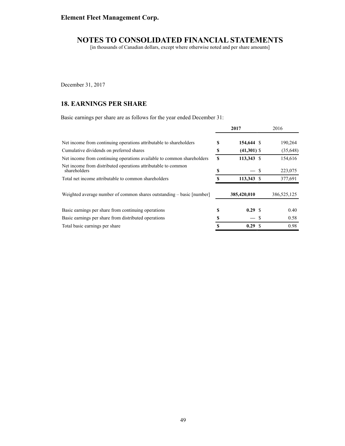[in thousands of Canadian dollars, except where otherwise noted and per share amounts]

December 31, 2017

# **18. EARNINGS PER SHARE**

Basic earnings per share are as follows for the year ended December 31:

|                                                                               |    | 2017          | 2016          |
|-------------------------------------------------------------------------------|----|---------------|---------------|
| Net income from continuing operations attributable to shareholders            | S  | 154,644 \$    | 190,264       |
| Cumulative dividends on preferred shares                                      | \$ | $(41,301)$ \$ | (35,648)      |
| Net income from continuing operations available to common shareholders        | S  | 113,343 \$    | 154,616       |
| Net income from distributed operations attributable to common<br>shareholders | S  |               | \$<br>223,075 |
| Total net income attributable to common shareholders                          |    | 113,343 \$    | 377,691       |
| Weighted average number of common shares outstanding – basic [number]         |    | 385,420,010   | 386,525,125   |
| Basic earnings per share from continuing operations                           | S  | 0.29 S        | 0.40          |
| Basic earnings per share from distributed operations                          | S  |               | 0.58          |
| Total basic earnings per share                                                | S  | 0.29          | 0.98          |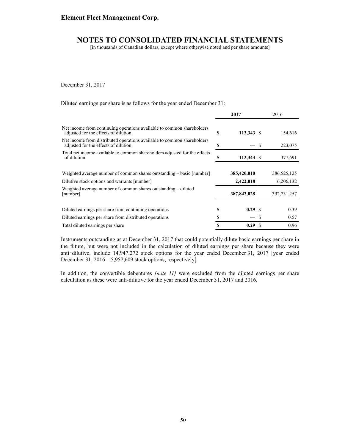[in thousands of Canadian dollars, except where otherwise noted and per share amounts]

December 31, 2017

Diluted earnings per share is as follows for the year ended December 31:

|                                                                                                                       |        | 2017                     |    | 2016                     |
|-----------------------------------------------------------------------------------------------------------------------|--------|--------------------------|----|--------------------------|
| Net income from continuing operations available to common shareholders<br>adjusted for the effects of dilution        | S      | 113,343 \$               |    | 154,616                  |
| Net income from distributed operations available to common shareholders<br>adjusted for the effects of dilution       | \$     |                          | -S | 223,075                  |
| Total net income available to common shareholders adjusted for the effects<br>of dilution                             |        | 113,343 \$               |    | 377,691                  |
| Weighted average number of common shares outstanding – basic [number]<br>Dilutive stock options and warrants [number] |        | 385,420,010<br>2,422,018 |    | 386,525,125<br>6,206,132 |
| Weighted average number of common shares outstanding – diluted<br>[number]                                            |        | 387,842,028              |    | 392,731,257              |
| Diluted earnings per share from continuing operations<br>Diluted earnings per share from distributed operations       | S<br>S | 0.29 S                   | S  | 0.39<br>0.57             |
| Total diluted earnings per share                                                                                      | S      | 0.29S                    |    | 0.96                     |

Instruments outstanding as at December 31, 2017 that could potentially dilute basic earnings per share in the future, but were not included in the calculation of diluted earnings per share because they were anti-dilutive, include 14,947,272 stock options for the year ended December 31, 2017 [year ended December 31, 2016 – 5,957,609 stock options, respectively].

In addition, the convertible debentures *[note 11]* were excluded from the diluted earnings per share calculation as these were anti-dilutive for the year ended December 31, 2017 and 2016.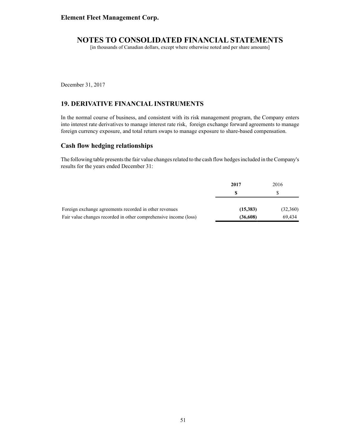[in thousands of Canadian dollars, except where otherwise noted and per share amounts]

December 31, 2017

# **19. DERIVATIVE FINANCIAL INSTRUMENTS**

In the normal course of business, and consistent with its risk management program, the Company enters into interest rate derivatives to manage interest rate risk, foreign exchange forward agreements to manage foreign currency exposure, and total return swaps to manage exposure to share-based compensation.

## **Cash flow hedging relationships**

The following table presents the fair value changes related to the cash flow hedges included in the Company's results for the years ended December 31:

|                                                                  | 2017     | 2016     |
|------------------------------------------------------------------|----------|----------|
|                                                                  |          |          |
| Foreign exchange agreements recorded in other revenues           | (15,383) | (32,360) |
| Fair value changes recorded in other comprehensive income (loss) | (36,608) | 69.434   |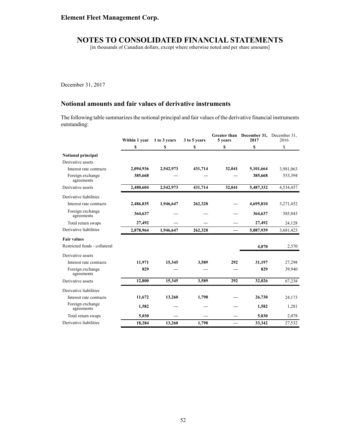[in thousands of Canadian dollars, except where otherwise noted and per share amounts]

December 31, 2017

# **Notional amounts and fair values of derivative instruments**

The following table summarizes the notional principal and fair values of the derivative financial instruments outstanding:

|                                | Within 1 year | 1 to 3 years | 3 to 5 years | 5 years | Greater than December 31, December 31,<br>2017 | 2016      |
|--------------------------------|---------------|--------------|--------------|---------|------------------------------------------------|-----------|
|                                | \$            | \$           | \$           | \$      | \$                                             | \$        |
| <b>Notional principal</b>      |               |              |              |         |                                                |           |
| Derivative assets              |               |              |              |         |                                                |           |
| Interest rate contracts        | 2,094,936     | 2,542,973    | 431,714      | 32,041  | 5,101,664                                      | 3,981,063 |
| Foreign exchange<br>agreements | 385,668       |              |              |         | 385,668                                        | 553,394   |
| Derivative assets              | 2,480,604     | 2,542,973    | 431,714      | 32,041  | 5,487,332                                      | 4,534,457 |
| Derivative liabilities         |               |              |              |         |                                                |           |
| Interest rate contracts        | 2,486,835     | 1,946,647    | 262,328      |         | 4,695,810                                      | 3,271,452 |
| Foreign exchange<br>agreements | 364,637       |              |              |         | 364,637                                        | 385,843   |
| Total return swaps             | 27,492        |              |              |         | 27,492                                         | 24,128    |
| Derivative liabilities         | 2,878,964     | 1,946,647    | 262,328      |         | 5,087,939                                      | 3,681,423 |
| <b>Fair values</b>             |               |              |              |         |                                                |           |
| Restricted funds - collateral  |               |              |              |         | 4,070                                          | 2,570     |
| Derivative assets              |               |              |              |         |                                                |           |
| Interest rate contracts        | 11,971        | 15,345       | 3,589        | 292     | 31,197                                         | 27,298    |
| Foreign exchange<br>agreements | 829           |              |              |         | 829                                            | 39,940    |
| Derivative assets              | 12,800        | 15,345       | 3,589        | 292     | 32,026                                         | 67,238    |
| Derivative liabilities         |               |              |              |         |                                                |           |
| Interest rate contracts        | 11,672        | 13,260       | 1,798        |         | 26,730                                         | 24,173    |
| Foreign exchange<br>agreements | 1,582         |              |              |         | 1,582                                          | 1,281     |
| Total return swaps             | 5,030         |              |              |         | 5,030                                          | 2,078     |
| Derivative liabilities         | 18,284        | 13,260       | 1,798        |         | 33,342                                         | 27,532    |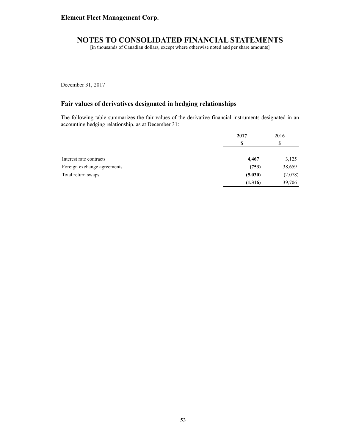[in thousands of Canadian dollars, except where otherwise noted and per share amounts]

December 31, 2017

# **Fair values of derivatives designated in hedging relationships**

The following table summarizes the fair values of the derivative financial instruments designated in an accounting hedging relationship, as at December 31:

|                             | 2017     | 2016     |
|-----------------------------|----------|----------|
|                             | S        | ــه<br>Φ |
| Interest rate contracts     | 4,467    | 3,125    |
| Foreign exchange agreements | (753)    | 38,659   |
| Total return swaps          | (5,030)  | (2,078)  |
|                             | (1, 316) | 39,706   |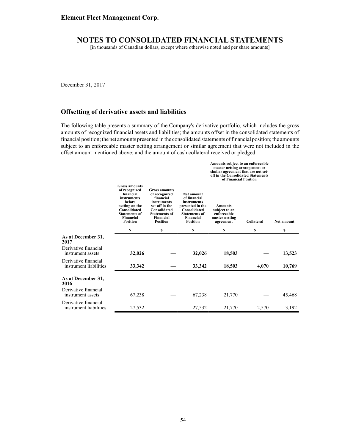[in thousands of Canadian dollars, except where otherwise noted and per share amounts]

December 31, 2017

## **Offsetting of derivative assets and liabilities**

The following table presents a summary of the Company's derivative portfolio, which includes the gross amounts of recognized financial assets and liabilities; the amounts offset in the consolidated statements of financial position; the net amounts presented in the consolidated statements of financial position; the amounts subject to an enforceable master netting arrangement or similar agreement that were not included in the offset amount mentioned above; and the amount of cash collateral received or pledged.

|                                                |                                                                                                                                                                       |                                                                                                                                                             |                                                                                                                                              | Amounts subject to an enforceable<br>master netting arrangement or<br>similar agreement that are not set-<br>off in the Consolidated Statements<br>of Financial Position |            |            |
|------------------------------------------------|-----------------------------------------------------------------------------------------------------------------------------------------------------------------------|-------------------------------------------------------------------------------------------------------------------------------------------------------------|----------------------------------------------------------------------------------------------------------------------------------------------|--------------------------------------------------------------------------------------------------------------------------------------------------------------------------|------------|------------|
|                                                | <b>Gross amounts</b><br>of recognized<br>financial<br>instruments<br>before<br>netting on the<br>Consolidated<br><b>Statements of</b><br>Financial<br><b>Position</b> | <b>Gross amounts</b><br>of recognized<br>financial<br>instruments<br>set-off in the<br>Consolidated<br><b>Statements of</b><br>Financial<br><b>Position</b> | <b>Net amount</b><br>of financial<br>instruments<br>presented in the<br>Consolidated<br><b>Statements of</b><br>Financial<br><b>Position</b> | <b>Amounts</b><br>subject to an<br>enforceable<br>master netting<br>agreement                                                                                            | Collateral | Net amount |
|                                                | \$                                                                                                                                                                    | \$                                                                                                                                                          | \$                                                                                                                                           | \$                                                                                                                                                                       | \$         | \$         |
| As at December 31,<br>2017                     |                                                                                                                                                                       |                                                                                                                                                             |                                                                                                                                              |                                                                                                                                                                          |            |            |
| Derivative financial<br>instrument assets      | 32,026                                                                                                                                                                |                                                                                                                                                             | 32,026                                                                                                                                       | 18,503                                                                                                                                                                   |            | 13,523     |
| Derivative financial<br>instrument liabilities | 33,342                                                                                                                                                                |                                                                                                                                                             | 33,342                                                                                                                                       | 18,503                                                                                                                                                                   | 4,070      | 10,769     |
| As at December 31,<br>2016                     |                                                                                                                                                                       |                                                                                                                                                             |                                                                                                                                              |                                                                                                                                                                          |            |            |
| Derivative financial<br>instrument assets      | 67,238                                                                                                                                                                |                                                                                                                                                             | 67,238                                                                                                                                       | 21,770                                                                                                                                                                   |            | 45,468     |
| Derivative financial<br>instrument liabilities | 27,532                                                                                                                                                                |                                                                                                                                                             | 27,532                                                                                                                                       | 21,770                                                                                                                                                                   | 2,570      | 3,192      |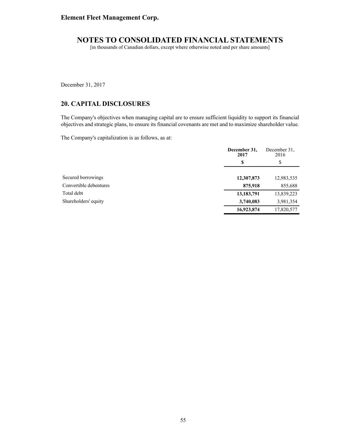[in thousands of Canadian dollars, except where otherwise noted and per share amounts]

December 31, 2017

# **20. CAPITAL DISCLOSURES**

The Company's objectives when managing capital are to ensure sufficient liquidity to support its financial objectives and strategic plans, to ensure its financial covenants are met and to maximize shareholder value.

The Company's capitalization is as follows, as at:

|                        | December 31,<br>2017 | December 31.<br>2016 |
|------------------------|----------------------|----------------------|
|                        | \$                   | \$                   |
| Secured borrowings     | 12,307,873           | 12,983,535           |
| Convertible debentures | 875,918              | 855,688              |
| Total debt             | 13,183,791           | 13,839,223           |
| Shareholders' equity   | 3,740,083            | 3,981,354            |
|                        | 16,923,874           | 17,820,577           |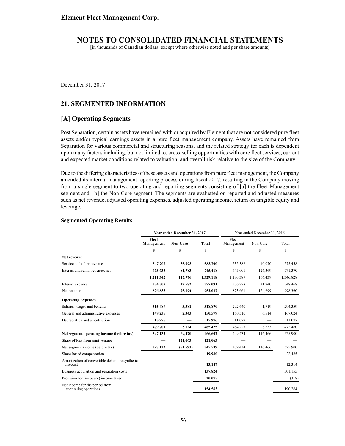[in thousands of Canadian dollars, except where otherwise noted and per share amounts]

December 31, 2017

## **21. SEGMENTED INFORMATION**

## **[A] Operating Segments**

Post Separation, certain assets have remained with or acquired by Element that are not considered pure fleet assets and/or typical earnings assets in a pure fleet management company. Assets have remained from Separation for various commercial and structuring reasons, and the related strategy for each is dependent upon many factors including, but not limited to, cross-selling opportunities with core fleet services, current and expected market conditions related to valuation, and overall risk relative to the size of the Company.

Due to the differing characteristics of these assets and operations from pure fleet management, the Company amended its internal management reporting process during fiscal 2017, resulting in the Company moving from a single segment to two operating and reporting segments consisting of [a] the Fleet Management segment and, [b] the Non-Core segment. The segments are evaluated on reported and adjusted measures such as net revenue, adjusted operating expenses, adjusted operating income, return on tangible equity and leverage.

#### **Segmented Operating Results**

|                                                             | Year ended December 31, 2017 |           |              | Year ended December 31, 2016 |          |           |
|-------------------------------------------------------------|------------------------------|-----------|--------------|------------------------------|----------|-----------|
|                                                             | Fleet<br>Management          | Non-Core  | <b>Total</b> | Fleet<br>Management          | Non-Core | Total     |
|                                                             | \$                           | \$        | \$           | \$                           | \$       | \$        |
| Net revenue                                                 |                              |           |              |                              |          |           |
| Service and other revenue                                   | 547,707                      | 35,993    | 583,700      | 535,388                      | 40.070   | 575,458   |
| Interest and rental revenue, net                            | 663,635                      | 81,783    | 745,418      | 645,001                      | 126,369  | 771,370   |
|                                                             | 1,211,342                    | 117,776   | 1,329,118    | 1,180,389                    | 166,439  | 1,346,828 |
| Interest expense                                            | 334,509                      | 42,582    | 377,091      | 306,728                      | 41,740   | 348,468   |
| Net revenue                                                 | 876,833                      | 75,194    | 952,027      | 873,661                      | 124,699  | 998,360   |
| <b>Operating Expenses</b>                                   |                              |           |              |                              |          |           |
| Salaries, wages and benefits                                | 315,489                      | 3,381     | 318,870      | 292,640                      | 1,719    | 294,359   |
| General and administrative expenses                         | 148,236                      | 2,343     | 150,579      | 160,510                      | 6,514    | 167,024   |
| Depreciation and amortization                               | 15,976                       |           | 15,976       | 11,077                       |          | 11,077    |
|                                                             | 479,701                      | 5,724     | 485,425      | 464,227                      | 8,233    | 472,460   |
| Net segment operating income (before tax)                   | 397,132                      | 69,470    | 466,602      | 409,434                      | 116,466  | 525,900   |
| Share of loss from joint venture                            |                              | 121,063   | 121,063      |                              |          |           |
| Net segment income (before tax)                             | 397,132                      | (51, 593) | 345,539      | 409,434                      | 116,466  | 525,900   |
| Share-based compensation                                    |                              |           | 19,930       |                              |          | 22,485    |
| Amortization of convertible debenture synthetic<br>discount |                              |           | 13,147       |                              |          | 12,314    |
| Business acquisition and separation costs                   |                              |           | 137,824      |                              |          | 301,155   |
| Provision for (recovery) income taxes                       |                              |           | 20,075       |                              |          | (318)     |
| Net income for the period from<br>continuing operations     |                              |           | 154,563      |                              |          | 190,264   |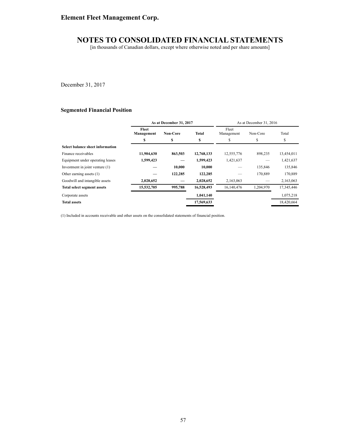# **Element Fleet Management Corp.**

# **NOTES TO CONSOLIDATED FINANCIAL STATEMENTS**

[in thousands of Canadian dollars, except where otherwise noted and per share amounts]

December 31, 2017

#### **Segmented Financial Position**

|                                    | As at December 31, 2017 |                 |              | As at December 31, 2016 |           |            |  |
|------------------------------------|-------------------------|-----------------|--------------|-------------------------|-----------|------------|--|
|                                    | Fleet<br>Management     | <b>Non-Core</b> | <b>Total</b> | Fleet<br>Management     | Non-Core  | Total      |  |
|                                    | S                       | S               | \$           | S                       | \$        | \$         |  |
| Select balance sheet information   |                         |                 |              |                         |           |            |  |
| Finance receivables                | 11,904,630              | 863,503         | 12,768,133   | 12,555,776              | 898,235   | 13,454,011 |  |
| Equipment under operating leases   | 1,599,423               |                 | 1.599.423    | 1,421,637               |           | 1,421,637  |  |
| Investment in joint venture (1)    |                         | 10.000          | 10,000       |                         | 135.846   | 135,846    |  |
| Other earning assets (1)           |                         | 122,285         | 122,285      |                         | 170.889   | 170,889    |  |
| Goodwill and intangible assets     | 2,028,652               |                 | 2,028,652    | 2,163,063               |           | 2,163,063  |  |
| <b>Total select segment assets</b> | 15,532,705              | 995,788         | 16,528,493   | 16,140,476              | 1,204,970 | 17,345,446 |  |
| Corporate assets                   |                         |                 | 1,041,140    |                         |           | 1,075,218  |  |
| <b>Total assets</b>                |                         |                 | 17,569,633   |                         |           | 18,420,664 |  |

(1) Included in accounts receivable and other assets on the consolidated statements of financial position.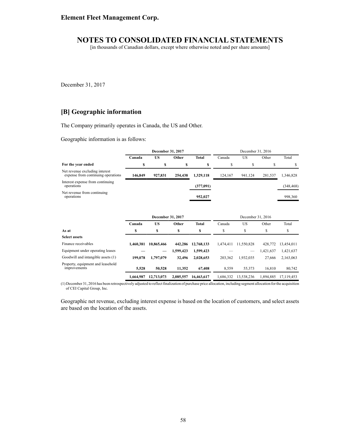[in thousands of Canadian dollars, except where otherwise noted and per share amounts]

December 31, 2017

## **[B] Geographic information**

The Company primarily operates in Canada, the US and Other.

Geographic information is as follows:

|                                                                      | December 31, 2017 |                                |           | December 31, 2016 |           |                                |           |            |
|----------------------------------------------------------------------|-------------------|--------------------------------|-----------|-------------------|-----------|--------------------------------|-----------|------------|
|                                                                      | Canada            | <b>US</b>                      | Other     | <b>Total</b>      | Canada    | <b>US</b>                      | Other     | Total      |
| For the year ended                                                   | \$                | \$                             | \$        | \$                | \$        | \$                             | \$        | \$         |
| Net revenue excluding interest<br>expense from continuing operations | 146,849           | 927,831                        | 254,438   | 1,329,118         | 124,167   | 941,124                        | 281,537   | 1,346,828  |
| Interest expense from continuing<br>operations                       |                   |                                |           | (377,091)         |           |                                |           | (348, 468) |
| Net revenue from continuing<br>operations                            |                   |                                |           | 952,027           |           |                                |           | 998,360    |
|                                                                      | Canada            | December 31, 2017<br><b>US</b> | Other     | <b>Total</b>      | Canada    | December 31, 2016<br><b>US</b> | Other     | Total      |
| As at                                                                | \$                | \$                             | \$        | \$                | \$        | \$                             | \$        | \$         |
| <b>Select assets</b>                                                 |                   |                                |           |                   |           |                                |           |            |
| Finance receivables                                                  | 1,460,381         | 10,865,466                     | 442,286   | 12,768,133        | 1,474,411 | 11,550,828                     | 428,772   | 13,454,011 |
| Equipment under operating leases                                     |                   |                                | 1,599,423 | 1,599,423         |           |                                | 1,421,637 | 1,421,637  |
| Goodwill and intangible assets (1)                                   | 199,078           | 1,797,079                      | 32,496    | 2,028,653         | 203,362   | 1,932,035                      | 27,666    | 2,163,063  |
| Property, equipment and leasehold<br>improvements                    | 5,528             | 50,528                         | 11,352    | 67,408            | 8,559     | 55,373                         | 16,810    | 80,742     |
|                                                                      | 1,664,987         | 12,713,073                     | 2,085,557 | 16,463,617        | 1,686,332 | 13,538,236                     | 1,894,885 | 17,119,453 |

(1) December 31, 2016 has been retrospectively adjusted to reflect finalization of purchase price allocation, including segment allocation for the acquisition of CEI Capital Group, Inc.

Geographic net revenue, excluding interest expense is based on the location of customers, and select assets are based on the location of the assets.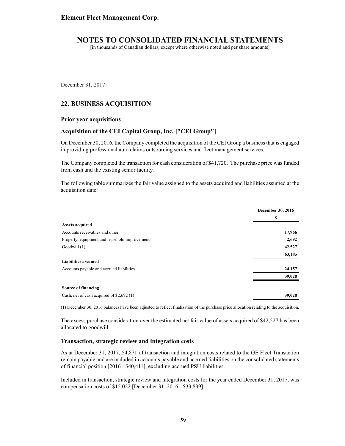[in thousands of Canadian dollars, except where otherwise noted and per share amounts]

December 31, 2017

## **22. BUSINESS ACQUISITION**

#### **Prior year acquisitions**

#### **Acquisition of the CEI Capital Group, Inc. ["CEI Group"]**

On December 30, 2016, the Company completed the acquisition of the CEI Group a business that is engaged in providing professional auto claims outsourcing services and fleet management services.

The Company completed the transaction for cash consideration of \$41,720. The purchase price was funded from cash and the existing senior facility.

The following table summarizes the fair value assigned to the assets acquired and liabilities assumed at the acquisition date:

|                                                | December 30, 2016 |  |
|------------------------------------------------|-------------------|--|
|                                                | S                 |  |
| <b>Assets acquired</b>                         |                   |  |
| Accounts receivables and other                 | 17,966            |  |
| Property, equipment and leasehold improvements | 2,692             |  |
| Goodwill (1)                                   | 42,527            |  |
|                                                | 63,185            |  |
| <b>Liabilities assumed</b>                     |                   |  |
| Accounts payable and accrued liabilities       | 24,157            |  |
|                                                | 39,028            |  |
| Source of financing                            |                   |  |
| Cash, net of cash acquired of \$2,692 (1)      | 39,028            |  |

(1) December 30, 2016 balances have been adjusted to reflect finalization of the purchase price allocation relating to the acquisition.

The excess purchase consideration over the estimated net fair value of assets acquired of \$42,527 has been allocated to goodwill.

#### **Transaction, strategic review and integration costs**

As at December 31, 2017, \$4,871 of transaction and integration costs related to the GE Fleet Transaction remain payable and are included in accounts payable and accrued liabilities on the consolidated statements of financial position [2016 - \$40,411], excluding accrued PSU liabilities.

Included in transaction, strategic review and integration costs for the year ended December 31, 2017, was compensation costs of \$15,022 [December 31, 2016 - \$33,839].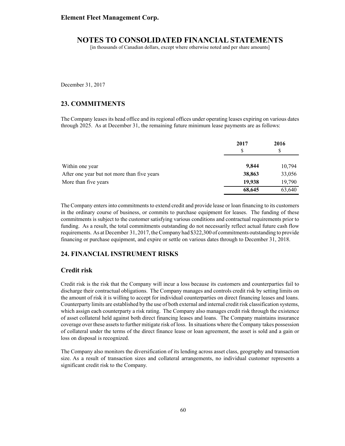[in thousands of Canadian dollars, except where otherwise noted and per share amounts]

December 31, 2017

## **23. COMMITMENTS**

The Company leases its head office and its regional offices under operating leases expiring on various dates through 2025. As at December 31, the remaining future minimum lease payments are as follows:

|                                             | 2017   | 2016   |  |
|---------------------------------------------|--------|--------|--|
|                                             | S      | S      |  |
| Within one year                             | 9,844  | 10,794 |  |
| After one year but not more than five years | 38,863 | 33,056 |  |
| More than five years                        | 19,938 | 19,790 |  |
|                                             | 68,645 | 63,640 |  |

The Company enters into commitments to extend credit and provide lease or loan financing to its customers in the ordinary course of business, or commits to purchase equipment for leases. The funding of these commitments is subject to the customer satisfying various conditions and contractual requirements prior to funding. As a result, the total commitments outstanding do not necessarily reflect actual future cash flow requirements. As at December 31, 2017, the Company had \$322,300 of commitments outstanding to provide financing or purchase equipment, and expire or settle on various dates through to December 31, 2018.

### **24. FINANCIAL INSTRUMENT RISKS**

#### **Credit risk**

Credit risk is the risk that the Company will incur a loss because its customers and counterparties fail to discharge their contractual obligations. The Company manages and controls credit risk by setting limits on the amount of risk it is willing to accept for individual counterparties on direct financing leases and loans. Counterparty limits are established by the use of both external and internal credit risk classification systems, which assign each counterparty a risk rating. The Company also manages credit risk through the existence of asset collateral held against both direct financing leases and loans. The Company maintains insurance coverage over these assets to further mitigate risk of loss. In situations where the Company takes possession of collateral under the terms of the direct finance lease or loan agreement, the asset is sold and a gain or loss on disposal is recognized.

The Company also monitors the diversification of its lending across asset class, geography and transaction size. As a result of transaction sizes and collateral arrangements, no individual customer represents a significant credit risk to the Company.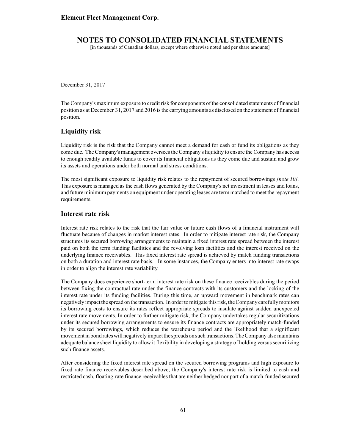[in thousands of Canadian dollars, except where otherwise noted and per share amounts]

December 31, 2017

The Company's maximum exposure to credit risk for components of the consolidated statements of financial position as at December 31, 2017 and 2016 is the carrying amounts as disclosed on the statement of financial position.

### **Liquidity risk**

Liquidity risk is the risk that the Company cannot meet a demand for cash or fund its obligations as they come due. The Company's management oversees the Company's liquidity to ensure the Company has access to enough readily available funds to cover its financial obligations as they come due and sustain and grow its assets and operations under both normal and stress conditions.

The most significant exposure to liquidity risk relates to the repayment of secured borrowings *[note 10].* This exposure is managed as the cash flows generated by the Company's net investment in leases and loans, and future minimum payments on equipment under operating leases are term matched to meet the repayment requirements.

#### **Interest rate risk**

Interest rate risk relates to the risk that the fair value or future cash flows of a financial instrument will fluctuate because of changes in market interest rates. In order to mitigate interest rate risk, the Company structures its secured borrowing arrangements to maintain a fixed interest rate spread between the interest paid on both the term funding facilities and the revolving loan facilities and the interest received on the underlying finance receivables. This fixed interest rate spread is achieved by match funding transactions on both a duration and interest rate basis. In some instances, the Company enters into interest rate swaps in order to align the interest rate variability.

The Company does experience short-term interest rate risk on these finance receivables during the period between fixing the contractual rate under the finance contracts with its customers and the locking of the interest rate under its funding facilities. During this time, an upward movement in benchmark rates can negatively impact the spread on the transaction. In order to mitigate this risk, the Company carefully monitors its borrowing costs to ensure its rates reflect appropriate spreads to insulate against sudden unexpected interest rate movements. In order to further mitigate risk, the Company undertakes regular securitizations under its secured borrowing arrangements to ensure its finance contracts are appropriately match-funded by its secured borrowings, which reduces the warehouse period and the likelihood that a significant movement in bond rates will negatively impact the spreads on such transactions. The Company also maintains adequate balance sheet liquidity to allow it flexibility in developing a strategy of holding versus securitizing such finance assets.

After considering the fixed interest rate spread on the secured borrowing programs and high exposure to fixed rate finance receivables described above, the Company's interest rate risk is limited to cash and restricted cash, floating-rate finance receivables that are neither hedged nor part of a match-funded secured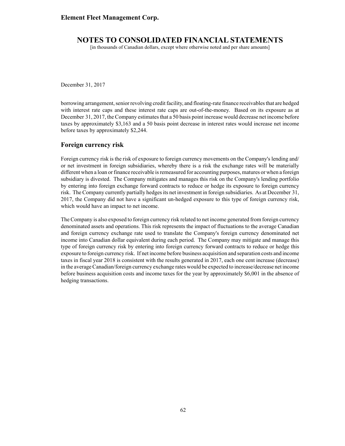[in thousands of Canadian dollars, except where otherwise noted and per share amounts]

December 31, 2017

borrowing arrangement, senior revolving credit facility, and floating-rate finance receivables that are hedged with interest rate caps and these interest rate caps are out-of-the-money. Based on its exposure as at December 31, 2017, the Company estimates that a 50 basis point increase would decrease net income before taxes by approximately \$3,163 and a 50 basis point decrease in interest rates would increase net income before taxes by approximately \$2,244.

#### **Foreign currency risk**

Foreign currency risk is the risk of exposure to foreign currency movements on the Company's lending and/ or net investment in foreign subsidiaries, whereby there is a risk the exchange rates will be materially different when a loan or finance receivable is remeasured for accounting purposes, matures or when a foreign subsidiary is divested. The Company mitigates and manages this risk on the Company's lending portfolio by entering into foreign exchange forward contracts to reduce or hedge its exposure to foreign currency risk. The Company currently partially hedges its net investment in foreign subsidiaries. As at December 31, 2017, the Company did not have a significant un-hedged exposure to this type of foreign currency risk, which would have an impact to net income.

The Company is also exposed to foreign currency risk related to net income generated from foreign currency denominated assets and operations. This risk represents the impact of fluctuations to the average Canadian and foreign currency exchange rate used to translate the Company's foreign currency denominated net income into Canadian dollar equivalent during each period. The Company may mitigate and manage this type of foreign currency risk by entering into foreign currency forward contracts to reduce or hedge this exposure to foreign currency risk. If net income before business acquisition and separation costs and income taxes in fiscal year 2018 is consistent with the results generated in 2017, each one cent increase (decrease) in the average Canadian/foreign currency exchange rates would be expected to increase/decrease net income before business acquisition costs and income taxes for the year by approximately \$6,001 in the absence of hedging transactions.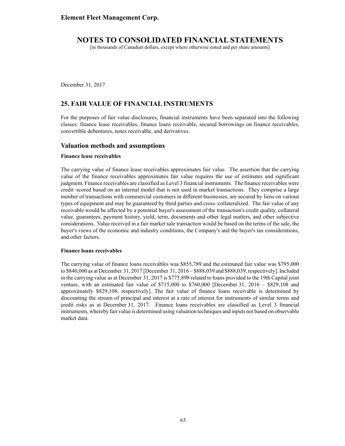[in thousands of Canadian dollars, except where otherwise noted and per share amounts]

December 31, 2017

# **25. FAIR VALUE OF FINANCIAL INSTRUMENTS**

For the purposes of fair value disclosures, financial instruments have been separated into the following classes: finance lease receivables, finance loans receivable, secured borrowings on finance receivables, convertible debentures, notes receivable, and derivatives.

### **Valuation methods and assumptions**

#### **Finance lease receivables**

The carrying value of finance lease receivables approximates fair value. The assertion that the carrying value of the finance receivables approximates fair value requires the use of estimates and significant judgment. Finance receivables are classified as Level 3 financial instruments. The finance receivables were credit scored based on an internal model that is not used in market transactions. They comprise a large number of transactions with commercial customers in different businesses, are secured by liens on various types of equipment and may be guaranteed by third parties and cross collateralized. The fair value of any receivable would be affected by a potential buyer's assessment of the transaction's credit quality, collateral value, guarantees, payment history, yield, term, documents and other legal matters, and other subjective considerations. Value received in a fair market sale transaction would be based on the terms of the sale, the buyer's views of the economic and industry conditions, the Company's and the buyer's tax considerations, and other factors.

#### **Finance loans receivables**

The carrying value of finance loans receivables was \$855,789 and the estimated fair value was \$795,000 to \$840,000 as at December 31, 2017 [December 31, 2016 – \$888,039 and \$888,039, respectively]. Included in the carrying value as at December 31, 2017 is \$775,898 related to loans provided to the 19th Capital joint venture, with an estimated fair value of  $$715,000$  to  $$760,000$  [December 31, 2016 – \$829,108 and approximately \$829,108, respectively]. The fair value of finance loans receivable is determined by discounting the stream of principal and interest at a rate of interest for instruments of similar terms and credit risks as at December 31, 2017. Finance loans receivables are classified as Level 3 financial instruments, whereby fair value is determined using valuation techniques and inputs not based on observable market data.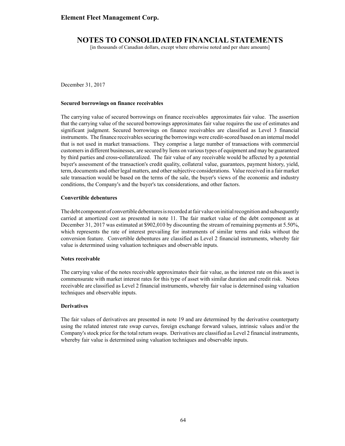[in thousands of Canadian dollars, except where otherwise noted and per share amounts]

December 31, 2017

#### **Secured borrowings on finance receivables**

The carrying value of secured borrowings on finance receivables approximates fair value. The assertion that the carrying value of the secured borrowings approximates fair value requires the use of estimates and significant judgment. Secured borrowings on finance receivables are classified as Level 3 financial instruments. The finance receivables securing the borrowings were credit-scored based on an internal model that is not used in market transactions. They comprise a large number of transactions with commercial customers in different businesses, are secured by liens on various types of equipment and may be guaranteed by third parties and cross-collateralized. The fair value of any receivable would be affected by a potential buyer's assessment of the transaction's credit quality, collateral value, guarantees, payment history, yield, term, documents and other legal matters, and other subjective considerations. Value received in a fair market sale transaction would be based on the terms of the sale, the buyer's views of the economic and industry conditions, the Company's and the buyer's tax considerations, and other factors.

#### **Convertible debentures**

The debt component of convertible debentures is recorded at fair value on initial recognition and subsequently carried at amortized cost as presented in note 11. The fair market value of the debt component as at December 31, 2017 was estimated at \$902,010 by discounting the stream of remaining payments at 5.50%, which represents the rate of interest prevailing for instruments of similar terms and risks without the conversion feature. Convertible debentures are classified as Level 2 financial instruments, whereby fair value is determined using valuation techniques and observable inputs.

#### **Notes receivable**

The carrying value of the notes receivable approximates their fair value, as the interest rate on this asset is commensurate with market interest rates for this type of asset with similar duration and credit risk. Notes receivable are classified as Level 2 financial instruments, whereby fair value is determined using valuation techniques and observable inputs.

#### **Derivatives**

The fair values of derivatives are presented in note 19 and are determined by the derivative counterparty using the related interest rate swap curves, foreign exchange forward values, intrinsic values and/or the Company's stock price for the total return swaps. Derivatives are classified as Level 2 financial instruments, whereby fair value is determined using valuation techniques and observable inputs.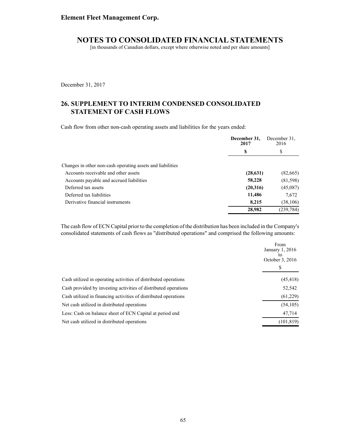[in thousands of Canadian dollars, except where otherwise noted and per share amounts]

December 31, 2017

# **26. SUPPLEMENT TO INTERIM CONDENSED CONSOLIDATED STATEMENT OF CASH FLOWS**

Cash flow from other non-cash operating assets and liabilities for the years ended:

|                                                            | December 31,<br>2017 | December 31.<br>2016 |  |
|------------------------------------------------------------|----------------------|----------------------|--|
|                                                            | \$                   | \$                   |  |
| Changes in other non-cash operating assets and liabilities |                      |                      |  |
| Accounts receivable and other assets                       | (28, 631)            | (82,665)             |  |
| Accounts payable and accrued liabilities                   | 58,228               | (81,598)             |  |
| Deferred tax assets                                        | (20,316)             | (45,087)             |  |
| Deferred tax liabilities                                   | 11,486               | 7,672                |  |
| Derivative financial instruments                           | 8,215                | (38, 106)            |  |
|                                                            | 28,982               | (239, 784)           |  |

The cash flow of ECN Capital prior to the completion of the distribution has been included in the Company's consolidated statements of cash flows as "distributed operations" and comprised the following amounts:

|                                                                 | From<br>January 1, 2016<br>tο<br>October 3, 2016<br>S |
|-----------------------------------------------------------------|-------------------------------------------------------|
| Cash utilized in operating activities of distributed operations | (45, 418)                                             |
| Cash provided by investing activities of distributed operations | 52,542                                                |
| Cash utilized in financing activities of distributed operations | (61,229)                                              |
| Net cash utilized in distributed operations                     | (54, 105)                                             |
| Less: Cash on balance sheet of ECN Capital at period end        | 47,714                                                |
| Net cash utilized in distributed operations                     | (101, 819)                                            |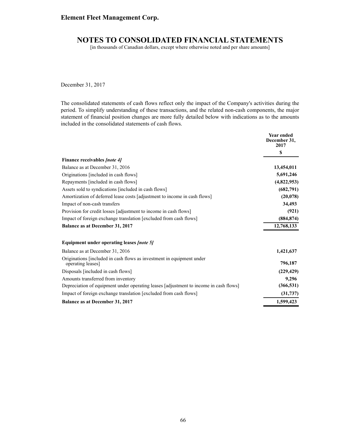### **Element Fleet Management Corp.**

# **NOTES TO CONSOLIDATED FINANCIAL STATEMENTS**

[in thousands of Canadian dollars, except where otherwise noted and per share amounts]

December 31, 2017

The consolidated statements of cash flows reflect only the impact of the Company's activities during the period. To simplify understanding of these transactions, and the related non-cash components, the major statement of financial position changes are more fully detailed below with indications as to the amounts included in the consolidated statements of cash flows.

|                                                                                            | <b>Year ended</b><br>December 31,<br>2017 |
|--------------------------------------------------------------------------------------------|-------------------------------------------|
|                                                                                            | S                                         |
| <b>Finance receivables [note 4]</b>                                                        |                                           |
| Balance as at December 31, 2016                                                            | 13,454,011                                |
| Originations [included in cash flows]                                                      | 5,691,246                                 |
| Repayments [included in cash flows]                                                        | (4,822,953)                               |
| Assets sold to syndications [included in cash flows]                                       | (682,791)                                 |
| Amortization of deferred lease costs [adjustment to income in cash flows]                  | (20, 078)                                 |
| Impact of non-cash transfers                                                               | 34,493                                    |
| Provision for credit losses [adjustment to income in cash flows]                           | (921)                                     |
| Impact of foreign exchange translation [excluded from cash flows]                          | (884, 874)                                |
| Balance as at December 31, 2017                                                            | 12,768,133                                |
| Equipment under operating leases <i>[note 5]</i>                                           |                                           |
| Balance as at December 31, 2016                                                            | 1,421,637                                 |
| Originations [included in cash flows as investment in equipment under<br>operating leases] | 796,187                                   |
| Disposals [included in cash flows]                                                         | (229, 429)                                |
| Amounts transferred from inventory                                                         | 9,296                                     |
| Depreciation of equipment under operating leases [adjustment to income in cash flows]      | (366, 531)                                |
| Impact of foreign exchange translation [excluded from cash flows]                          | (31, 737)                                 |
| <b>Balance as at December 31, 2017</b>                                                     | 1,599,423                                 |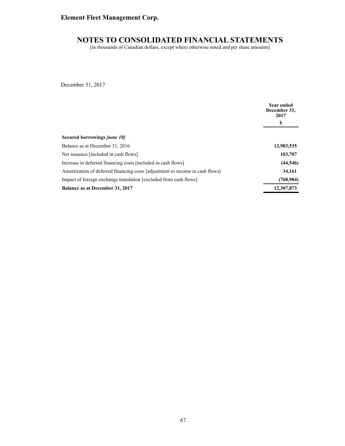# **Element Fleet Management Corp.**

### **NOTES TO CONSOLIDATED FINANCIAL STATEMENTS**

[in thousands of Canadian dollars, except where otherwise noted and per share amounts]

December 31, 2017

|                                                                               | <b>Year ended</b><br>December 31,<br>2017 |  |
|-------------------------------------------------------------------------------|-------------------------------------------|--|
|                                                                               | S                                         |  |
| Secured borrowings <i>[note 10]</i>                                           |                                           |  |
| Balance as at December 31, 2016                                               | 12,983,535                                |  |
| Net issuance [included in cash flows]                                         | 103,707                                   |  |
| Increase in deferred financing costs [included in cash flows]                 | (44, 546)                                 |  |
| Amortization of deferred financing costs [adjustment to income in cash flows] | 34,161                                    |  |
| Impact of foreign exchange translation [excluded from cash flows]             | (768, 984)                                |  |
| <b>Balance as at December 31, 2017</b>                                        | 12,307,873                                |  |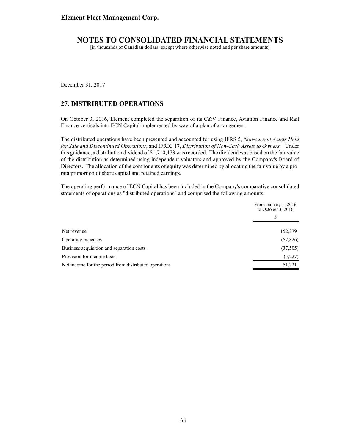## **NOTES TO CONSOLIDATED FINANCIAL STATEMENTS**

[in thousands of Canadian dollars, except where otherwise noted and per share amounts]

December 31, 2017

#### **27. DISTRIBUTED OPERATIONS**

On October 3, 2016, Element completed the separation of its C&V Finance, Aviation Finance and Rail Finance verticals into ECN Capital implemented by way of a plan of arrangement.

The distributed operations have been presented and accounted for using IFRS 5, *Non-current Assets Held for Sale and Discontinued Operations*, and IFRIC 17, *Distribution of Non-Cash Assets to Owners.* Under this guidance, a distribution dividend of \$1,710,473 was recorded. The dividend was based on the fair value of the distribution as determined using independent valuators and approved by the Company's Board of Directors. The allocation of the components of equity was determined by allocating the fair value by a prorata proportion of share capital and retained earnings.

The operating performance of ECN Capital has been included in the Company's comparative consolidated statements of operations as "distributed operations" and comprised the following amounts:

|                                                       | From January 1, 2016<br>to October $3, 2016$ |  |
|-------------------------------------------------------|----------------------------------------------|--|
|                                                       | \$                                           |  |
| Net revenue                                           | 152,279                                      |  |
| Operating expenses                                    | (57, 826)                                    |  |
| Business acquisition and separation costs             | (37,505)                                     |  |
| Provision for income taxes                            | (5,227)                                      |  |
| Net income for the period from distributed operations | 51,721                                       |  |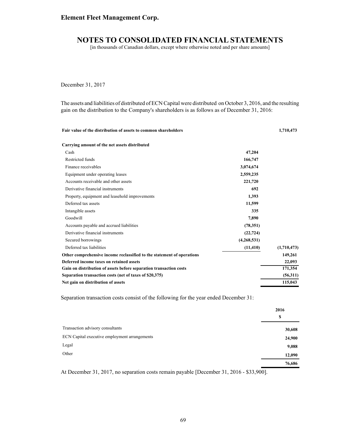### **Element Fleet Management Corp.**

## **NOTES TO CONSOLIDATED FINANCIAL STATEMENTS**

[in thousands of Canadian dollars, except where otherwise noted and per share amounts]

December 31, 2017

The assets and liabilities of distributed of ECN Capital were distributed on October 3, 2016, and the resulting gain on the distribution to the Company's shareholders is as follows as of December 31, 2016:

**Fair value of the distribution of assets to common shareholders 1,710,473**

| Carrying amount of the net assets distributed                          |             |             |
|------------------------------------------------------------------------|-------------|-------------|
| Cash                                                                   | 47,204      |             |
| Restricted funds                                                       | 166,747     |             |
| Finance receivables                                                    | 3,074,674   |             |
| Equipment under operating leases                                       | 2,559,235   |             |
| Accounts receivable and other assets                                   | 221,720     |             |
| Derivative financial instruments                                       | 692         |             |
| Property, equipment and leasehold improvements                         | 1,393       |             |
| Deferred tax assets                                                    | 11,599      |             |
| Intangible assets                                                      | 335         |             |
| Goodwill                                                               | 7,890       |             |
| Accounts payable and accrued liabilities                               | (78, 351)   |             |
| Derivative financial instruments                                       | (22, 724)   |             |
| Secured borrowings                                                     | (4,268,531) |             |
| Deferred tax liabilities                                               | (11, 410)   | (1,710,473) |
| Other comprehensive income reclassified to the statement of operations |             | 149,261     |
| Deferred income taxes on retained assets                               |             | 22,093      |
| Gain on distribution of assets before separation transaction costs     |             | 171,354     |
| Separation transaction costs (net of taxes of \$20,375)                |             | (56,311)    |
| Net gain on distribution of assets                                     |             | 115,043     |

Separation transaction costs consist of the following for the year ended December 31:

|                                               | 2016<br>S |
|-----------------------------------------------|-----------|
| Transaction advisory consultants              | 30,608    |
| ECN Capital executive employment arrangements | 24,900    |
| Legal                                         | 9,088     |
| Other                                         | 12,090    |
|                                               | 76,686    |

At December 31, 2017, no separation costs remain payable [December 31, 2016 - \$33,900].